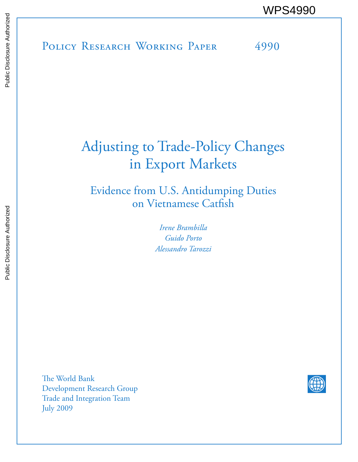# Adjusting to Trade-Policy Changes in Export Markets

Evidence from U.S. Antidumping Duties on Vietnamese Catfish

> *Irene Brambilla Guido Porto Alessandro Tarozzi*

The World Bank Development Research Group Trade and Integration Team July 2009

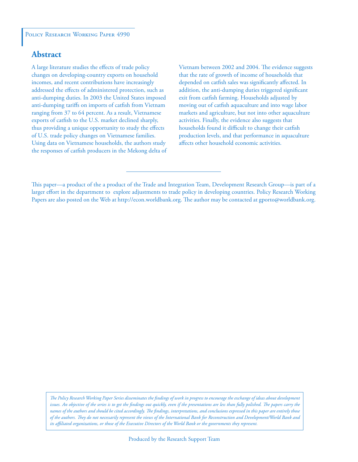### **Abstract**

A large literature studies the effects of trade policy changes on developing-country exports on household incomes, and recent contributions have increasingly addressed the effects of administered protection, such as anti-dumping duties. In 2003 the United States imposed anti-dumping tariffs on imports of catfish from Vietnam ranging from 37 to 64 percent. As a result, Vietnamese exports of catfish to the U.S. market declined sharply, thus providing a unique opportunity to study the effects of U.S. trade policy changes on Vietnamese families. Using data on Vietnamese households, the authors study the responses of catfish producers in the Mekong delta of Vietnam between 2002 and 2004. The evidence suggests that the rate of growth of income of households that depended on catfish sales was significantly affected. In addition, the anti-dumping duties triggered significant exit from catfish farming. Households adjusted by moving out of catfish aquaculture and into wage labor markets and agriculture, but not into other aquaculture activities. Finally, the evidence also suggests that households found it difficult to change their catfish production levels, and that performance in aquaculture affects other household economic activities.

*The Policy Research Working Paper Series disseminates the findings of work in progress to encourage the exchange of ideas about development*  issues. An objective of the series is to get the findings out quickly, even if the presentations are less than fully polished. The papers carry the *names of the authors and should be cited accordingly. The findings, interpretations, and conclusions expressed in this paper are entirely those of the authors. They do not necessarily represent the views of the International Bank for Reconstruction and Development/World Bank and its affiliated organizations, or those of the Executive Directors of the World Bank or the governments they represent.*

This paper—a product of the a product of the Trade and Integration Team, Development Research Group—is part of a larger effort in the department to explore adjustments to trade policy in developing countries. Policy Research Working Papers are also posted on the Web at http://econ.worldbank.org. The author may be contacted at gporto@worldbank.org.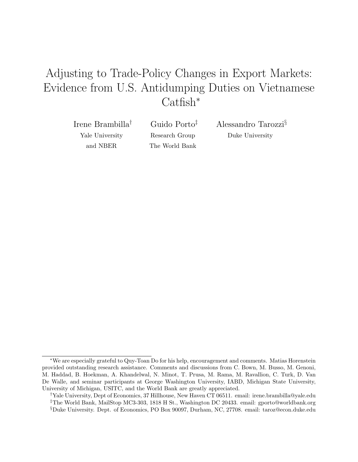## Adjusting to Trade-Policy Changes in Export Markets: Evidence from U.S. Antidumping Duties on Vietnamese Catfish<sup>∗</sup>

Irene Brambilla† Yale University and NBER

Guido Porto‡ Research Group The World Bank

Alessandro Tarozzi§ Duke University

<sup>∗</sup>We are especially grateful to Quy-Toan Do for his help, encouragement and comments. Matias Horenstein provided outstanding research assistance. Comments and discussions from C. Bown, M. Busso, M. Genoni, M. Haddad, B. Hoekman, A. Khandelwal, N. Minot, T. Prusa, M. Rama, M. Ravallion, C. Turk, D. Van De Walle, and seminar participants at George Washington University, IABD, Michigan State University, University of Michigan, USITC, and the World Bank are greatly appreciated.

<sup>†</sup>Yale University, Dept of Economics, 37 Hillhouse, New Haven CT 06511. email: irene.brambilla@yale.edu ‡The World Bank, MailStop MC3-303, 1818 H St., Washington DC 20433. email: gporto@worldbank.org §Duke University. Dept. of Economics, PO Box 90097, Durham, NC, 27708. email: taroz@econ.duke.edu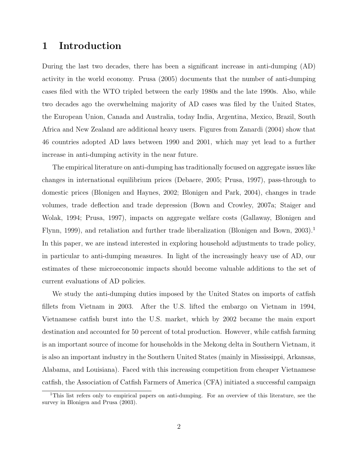## 1 Introduction

During the last two decades, there has been a significant increase in anti-dumping (AD) activity in the world economy. Prusa (2005) documents that the number of anti-dumping cases filed with the WTO tripled between the early 1980s and the late 1990s. Also, while two decades ago the overwhelming majority of AD cases was filed by the United States, the European Union, Canada and Australia, today India, Argentina, Mexico, Brazil, South Africa and New Zealand are additional heavy users. Figures from Zanardi (2004) show that 46 countries adopted AD laws between 1990 and 2001, which may yet lead to a further increase in anti-dumping activity in the near future.

The empirical literature on anti-dumping has traditionally focused on aggregate issues like changes in international equilibrium prices (Debaere, 2005; Prusa, 1997), pass-through to domestic prices (Blonigen and Haynes, 2002; Blonigen and Park, 2004), changes in trade volumes, trade deflection and trade depression (Bown and Crowley, 2007a; Staiger and Wolak, 1994; Prusa, 1997), impacts on aggregate welfare costs (Gallaway, Blonigen and Flynn, 1999), and retaliation and further trade liberalization (Blonigen and Bown, 2003).<sup>1</sup> In this paper, we are instead interested in exploring household adjustments to trade policy, in particular to anti-dumping measures. In light of the increasingly heavy use of AD, our estimates of these microeconomic impacts should become valuable additions to the set of current evaluations of AD policies.

We study the anti-dumping duties imposed by the United States on imports of catfish fillets from Vietnam in 2003. After the U.S. lifted the embargo on Vietnam in 1994, Vietnamese catfish burst into the U.S. market, which by 2002 became the main export destination and accounted for 50 percent of total production. However, while catfish farming is an important source of income for households in the Mekong delta in Southern Vietnam, it is also an important industry in the Southern United States (mainly in Mississippi, Arkansas, Alabama, and Louisiana). Faced with this increasing competition from cheaper Vietnamese catfish, the Association of Catfish Farmers of America (CFA) initiated a successful campaign

<sup>1</sup>This list refers only to empirical papers on anti-dumping. For an overview of this literature, see the survey in Blonigen and Prusa (2003).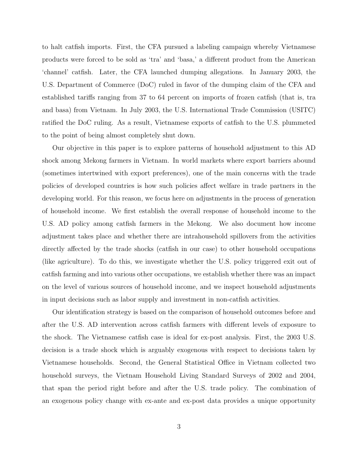to halt catfish imports. First, the CFA pursued a labeling campaign whereby Vietnamese products were forced to be sold as 'tra' and 'basa,' a different product from the American 'channel' catfish. Later, the CFA launched dumping allegations. In January 2003, the U.S. Department of Commerce (DoC) ruled in favor of the dumping claim of the CFA and established tariffs ranging from 37 to 64 percent on imports of frozen catfish (that is, tra and basa) from Vietnam. In July 2003, the U.S. International Trade Commission (USITC) ratified the DoC ruling. As a result, Vietnamese exports of catfish to the U.S. plummeted to the point of being almost completely shut down.

Our objective in this paper is to explore patterns of household adjustment to this AD shock among Mekong farmers in Vietnam. In world markets where export barriers abound (sometimes intertwined with export preferences), one of the main concerns with the trade policies of developed countries is how such policies affect welfare in trade partners in the developing world. For this reason, we focus here on adjustments in the process of generation of household income. We first establish the overall response of household income to the U.S. AD policy among catfish farmers in the Mekong. We also document how income adjustment takes place and whether there are intrahousehold spillovers from the activities directly affected by the trade shocks (catfish in our case) to other household occupations (like agriculture). To do this, we investigate whether the U.S. policy triggered exit out of catfish farming and into various other occupations, we establish whether there was an impact on the level of various sources of household income, and we inspect household adjustments in input decisions such as labor supply and investment in non-catfish activities.

Our identification strategy is based on the comparison of household outcomes before and after the U.S. AD intervention across catfish farmers with different levels of exposure to the shock. The Vietnamese catfish case is ideal for ex-post analysis. First, the 2003 U.S. decision is a trade shock which is arguably exogenous with respect to decisions taken by Vietnamese households. Second, the General Statistical Office in Vietnam collected two household surveys, the Vietnam Household Living Standard Surveys of 2002 and 2004, that span the period right before and after the U.S. trade policy. The combination of an exogenous policy change with ex-ante and ex-post data provides a unique opportunity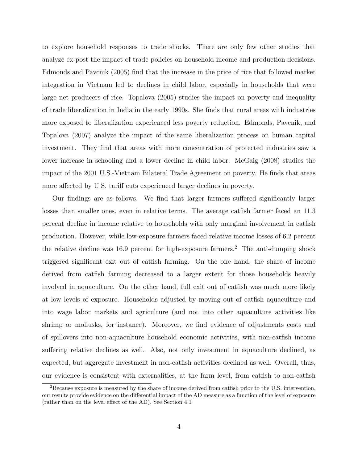to explore household responses to trade shocks. There are only few other studies that analyze ex-post the impact of trade policies on household income and production decisions. Edmonds and Pavcnik (2005) find that the increase in the price of rice that followed market integration in Vietnam led to declines in child labor, especially in households that were large net producers of rice. Topalova (2005) studies the impact on poverty and inequality of trade liberalization in India in the early 1990s. She finds that rural areas with industries more exposed to liberalization experienced less poverty reduction. Edmonds, Pavcnik, and Topalova (2007) analyze the impact of the same liberalization process on human capital investment. They find that areas with more concentration of protected industries saw a lower increase in schooling and a lower decline in child labor. McGaig (2008) studies the impact of the 2001 U.S.-Vietnam Bilateral Trade Agreement on poverty. He finds that areas more affected by U.S. tariff cuts experienced larger declines in poverty.

Our findings are as follows. We find that larger farmers suffered significantly larger losses than smaller ones, even in relative terms. The average catfish farmer faced an 11.3 percent decline in income relative to households with only marginal involvement in catfish production. However, while low-exposure farmers faced relative income losses of 6.2 percent the relative decline was 16.9 percent for high-exposure farmers.<sup>2</sup> The anti-dumping shock triggered significant exit out of catfish farming. On the one hand, the share of income derived from catfish farming decreased to a larger extent for those households heavily involved in aquaculture. On the other hand, full exit out of catfish was much more likely at low levels of exposure. Households adjusted by moving out of catfish aquaculture and into wage labor markets and agriculture (and not into other aquaculture activities like shrimp or mollusks, for instance). Moreover, we find evidence of adjustments costs and of spillovers into non-aquaculture household economic activities, with non-catfish income suffering relative declines as well. Also, not only investment in aquaculture declined, as expected, but aggregate investment in non-catfish activities declined as well. Overall, thus, our evidence is consistent with externalities, at the farm level, from catfish to non-catfish

<sup>2</sup>Because exposure is measured by the share of income derived from catfish prior to the U.S. intervention, our results provide evidence on the differential impact of the AD measure as a function of the level of exposure (rather than on the level effect of the AD). See Section 4.1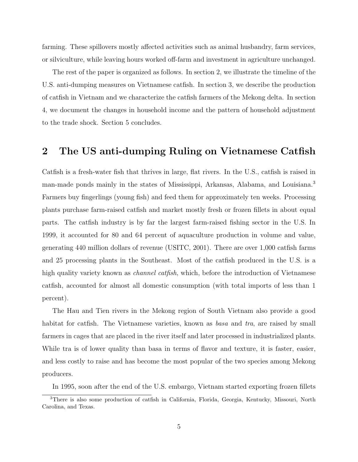farming. These spillovers mostly affected activities such as animal husbandry, farm services, or silviculture, while leaving hours worked off-farm and investment in agriculture unchanged.

The rest of the paper is organized as follows. In section 2, we illustrate the timeline of the U.S. anti-dumping measures on Vietnamese catfish. In section 3, we describe the production of catfish in Vietnam and we characterize the catfish farmers of the Mekong delta. In section 4, we document the changes in household income and the pattern of household adjustment to the trade shock. Section 5 concludes.

## 2 The US anti-dumping Ruling on Vietnamese Catfish

Catfish is a fresh-water fish that thrives in large, flat rivers. In the U.S., catfish is raised in man-made ponds mainly in the states of Mississippi, Arkansas, Alabama, and Louisiana.<sup>3</sup> Farmers buy fingerlings (young fish) and feed them for approximately ten weeks. Processing plants purchase farm-raised catfish and market mostly fresh or frozen fillets in about equal parts. The catfish industry is by far the largest farm-raised fishing sector in the U.S. In 1999, it accounted for 80 and 64 percent of aquaculture production in volume and value, generating 440 million dollars of revenue (USITC, 2001). There are over 1,000 catfish farms and 25 processing plants in the Southeast. Most of the catfish produced in the U.S. is a high quality variety known as *channel catfish*, which, before the introduction of Vietnamese catfish, accounted for almost all domestic consumption (with total imports of less than 1 percent).

The Hau and Tien rivers in the Mekong region of South Vietnam also provide a good habitat for catfish. The Vietnamese varieties, known as *basa* and tra, are raised by small farmers in cages that are placed in the river itself and later processed in industrialized plants. While tra is of lower quality than basa in terms of flavor and texture, it is faster, easier, and less costly to raise and has become the most popular of the two species among Mekong producers.

In 1995, soon after the end of the U.S. embargo, Vietnam started exporting frozen fillets

<sup>3</sup>There is also some production of catfish in California, Florida, Georgia, Kentucky, Missouri, North Carolina, and Texas.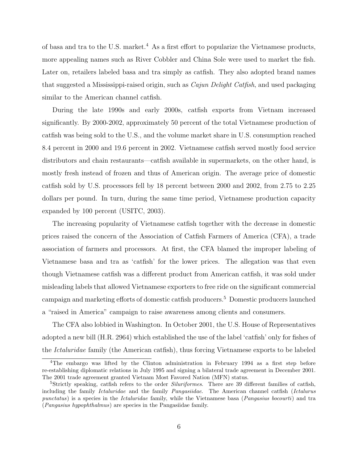of basa and tra to the U.S. market.<sup>4</sup> As a first effort to popularize the Vietnamese products, more appealing names such as River Cobbler and China Sole were used to market the fish. Later on, retailers labeled basa and tra simply as catfish. They also adopted brand names that suggested a Mississippi-raised origin, such as *Cajun Delight Catfish*, and used packaging similar to the American channel catfish.

During the late 1990s and early 2000s, catfish exports from Vietnam increased significantly. By 2000-2002, approximately 50 percent of the total Vietnamese production of catfish was being sold to the U.S., and the volume market share in U.S. consumption reached 8.4 percent in 2000 and 19.6 percent in 2002. Vietnamese catfish served mostly food service distributors and chain restaurants—catfish available in supermarkets, on the other hand, is mostly fresh instead of frozen and thus of American origin. The average price of domestic catfish sold by U.S. processors fell by 18 percent between 2000 and 2002, from 2.75 to 2.25 dollars per pound. In turn, during the same time period, Vietnamese production capacity expanded by 100 percent (USITC, 2003).

The increasing popularity of Vietnamese catfish together with the decrease in domestic prices raised the concern of the Association of Catfish Farmers of America (CFA), a trade association of farmers and processors. At first, the CFA blamed the improper labeling of Vietnamese basa and tra as 'catfish' for the lower prices. The allegation was that even though Vietnamese catfish was a different product from American catfish, it was sold under misleading labels that allowed Vietnamese exporters to free ride on the significant commercial campaign and marketing efforts of domestic catfish producers.<sup>5</sup> Domestic producers launched a "raised in America" campaign to raise awareness among clients and consumers.

The CFA also lobbied in Washington. In October 2001, the U.S. House of Representatives adopted a new bill (H.R. 2964) which established the use of the label 'catfish' only for fishes of the Ictaluridae family (the American catfish), thus forcing Vietnamese exports to be labeled

<sup>&</sup>lt;sup>4</sup>The embargo was lifted by the Clinton administration in February 1994 as a first step before re-establishing diplomatic relations in July 1995 and signing a bilateral trade agreement in December 2001. The 2001 trade agreement granted Vietnam Most Favored Nation (MFN) status.

<sup>&</sup>lt;sup>5</sup>Strictly speaking, catfish refers to the order *Siluriformes*. There are 39 different families of catfish, including the family Ictaluridae and the family Pangasiidae. The American channel catfish (Ictalurus punctatus) is a species in the Ictaluridae family, while the Vietnamese basa (Pangasius bocourti) and tra (Pangasius hypophthalmus) are species in the Pangasiidae family.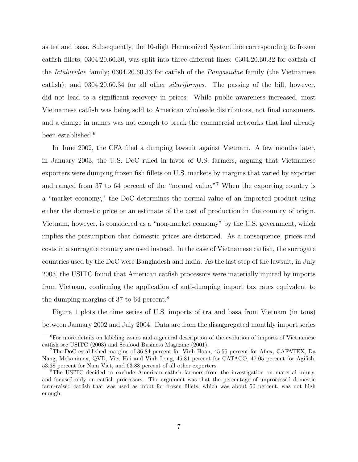as tra and basa. Subsequently, the 10-digit Harmonized System line corresponding to frozen catfish fillets, 0304.20.60.30, was split into three different lines: 0304.20.60.32 for catfish of the Ictaluridae family; 0304.20.60.33 for catfish of the Pangasiidae family (the Vietnamese catfish); and 0304.20.60.34 for all other siluriformes. The passing of the bill, however, did not lead to a significant recovery in prices. While public awareness increased, most Vietnamese catfish was being sold to American wholesale distributors, not final consumers, and a change in names was not enough to break the commercial networks that had already been established.<sup>6</sup>

In June 2002, the CFA filed a dumping lawsuit against Vietnam. A few months later, in January 2003, the U.S. DoC ruled in favor of U.S. farmers, arguing that Vietnamese exporters were dumping frozen fish fillets on U.S. markets by margins that varied by exporter and ranged from 37 to 64 percent of the "normal value."<sup>7</sup> When the exporting country is a "market economy," the DoC determines the normal value of an imported product using either the domestic price or an estimate of the cost of production in the country of origin. Vietnam, however, is considered as a "non-market economy" by the U.S. government, which implies the presumption that domestic prices are distorted. As a consequence, prices and costs in a surrogate country are used instead. In the case of Vietnamese catfish, the surrogate countries used by the DoC were Bangladesh and India. As the last step of the lawsuit, in July 2003, the USITC found that American catfish processors were materially injured by imports from Vietnam, confirming the application of anti-dumping import tax rates equivalent to the dumping margins of 37 to 64 percent.<sup>8</sup>

Figure 1 plots the time series of U.S. imports of tra and basa from Vietnam (in tons) between January 2002 and July 2004. Data are from the disaggregated monthly import series

<sup>6</sup>For more details on labeling issues and a general description of the evolution of imports of Vietnamese catfish see USITC (2003) and Seafood Business Magazine (2001).

<sup>7</sup>The DoC established margins of 36.84 percent for Vinh Hoan, 45.55 percent for Afiex, CAFATEX, Da Nang, Mekonimex, QVD, Viet Hai and Vinh Long, 45.81 percent for CATACO, 47.05 percent for Agifish, 53.68 percent for Nam Viet, and 63.88 percent of all other exporters.

<sup>&</sup>lt;sup>8</sup>The USITC decided to exclude American catfish farmers from the investigation on material injury, and focused only on catfish processors. The argument was that the percentage of unprocessed domestic farm-raised catfish that was used as input for frozen fillets, which was about 50 percent, was not high enough.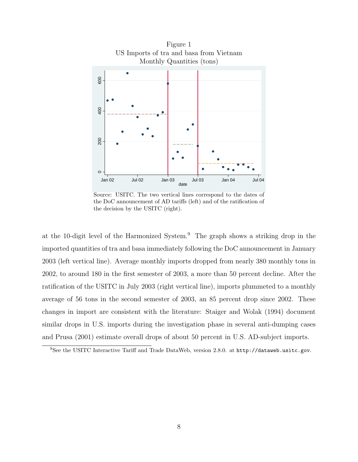

Source: USITC. The two vertical lines correspond to the dates of the DoC announcement of AD tariffs (left) and of the ratification of the decision by the USITC (right).

at the 10-digit level of the Harmonized System.<sup>9</sup> The graph shows a striking drop in the imported quantities of tra and basa immediately following the DoC announcement in January 2003 (left vertical line). Average monthly imports dropped from nearly 380 monthly tons in 2002, to around 180 in the first semester of 2003, a more than 50 percent decline. After the ratification of the USITC in July 2003 (right vertical line), imports plummeted to a monthly average of 56 tons in the second semester of 2003, an 85 percent drop since 2002. These changes in import are consistent with the literature: Staiger and Wolak (1994) document similar drops in U.S. imports during the investigation phase in several anti-dumping cases and Prusa (2001) estimate overall drops of about 50 percent in U.S. AD-subject imports.

<sup>&</sup>lt;sup>9</sup>See the USITC Interactive Tariff and Trade DataWeb, version 2.8.0. at http://dataweb.usitc.gov.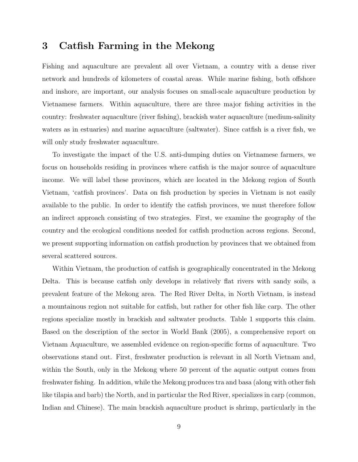## 3 Catfish Farming in the Mekong

Fishing and aquaculture are prevalent all over Vietnam, a country with a dense river network and hundreds of kilometers of coastal areas. While marine fishing, both offshore and inshore, are important, our analysis focuses on small-scale aquaculture production by Vietnamese farmers. Within aquaculture, there are three major fishing activities in the country: freshwater aquaculture (river fishing), brackish water aquaculture (medium-salinity waters as in estuaries) and marine aquaculture (saltwater). Since catfish is a river fish, we will only study freshwater aquaculture.

To investigate the impact of the U.S. anti-dumping duties on Vietnamese farmers, we focus on households residing in provinces where catfish is the major source of aquaculture income. We will label these provinces, which are located in the Mekong region of South Vietnam, 'catfish provinces'. Data on fish production by species in Vietnam is not easily available to the public. In order to identify the catfish provinces, we must therefore follow an indirect approach consisting of two strategies. First, we examine the geography of the country and the ecological conditions needed for catfish production across regions. Second, we present supporting information on catfish production by provinces that we obtained from several scattered sources.

Within Vietnam, the production of catfish is geographically concentrated in the Mekong Delta. This is because catfish only develops in relatively flat rivers with sandy soils, a prevalent feature of the Mekong area. The Red River Delta, in North Vietnam, is instead a mountainous region not suitable for catfish, but rather for other fish like carp. The other regions specialize mostly in brackish and saltwater products. Table 1 supports this claim. Based on the description of the sector in World Bank (2005), a comprehensive report on Vietnam Aquaculture, we assembled evidence on region-specific forms of aquaculture. Two observations stand out. First, freshwater production is relevant in all North Vietnam and, within the South, only in the Mekong where 50 percent of the aquatic output comes from freshwater fishing. In addition, while the Mekong produces tra and basa (along with other fish like tilapia and barb) the North, and in particular the Red River, specializes in carp (common, Indian and Chinese). The main brackish aquaculture product is shrimp, particularly in the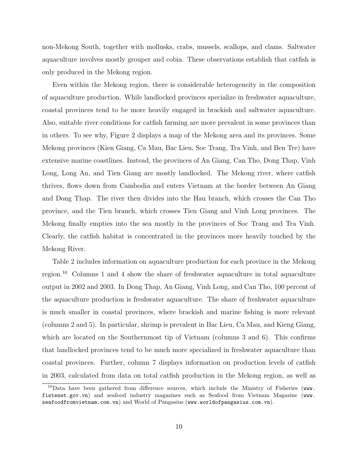non-Mekong South, together with mollusks, crabs, mussels, scallops, and clams. Saltwater aquaculture involves mostly grouper and cobia. These observations establish that catfish is only produced in the Mekong region.

Even within the Mekong region, there is considerable heterogeneity in the composition of aquaculture production. While landlocked provinces specialize in freshwater aquaculture, coastal provinces tend to be more heavily engaged in brackish and saltwater aquaculture. Also, suitable river conditions for catfish farming are more prevalent in some provinces than in others. To see why, Figure 2 displays a map of the Mekong area and its provinces. Some Mekong provinces (Kien Giang, Ca Mau, Bac Lieu, Soc Trang, Tra Vinh, and Ben Tre) have extensive marine coastlines. Instead, the provinces of An Giang, Can Tho, Dong Thap, Vinh Long, Long An, and Tien Giang are mostly landlocked. The Mekong river, where catfish thrives, flows down from Cambodia and enters Vietnam at the border between An Giang and Dong Thap. The river then divides into the Hau branch, which crosses the Can Tho province, and the Tien branch, which crosses Tien Giang and Vinh Long provinces. The Mekong finally empties into the sea mostly in the provinces of Soc Trang and Tra Vinh. Clearly, the catfish habitat is concentrated in the provinces more heavily touched by the Mekong River.

Table 2 includes information on aquaculture production for each province in the Mekong region.<sup>10</sup> Columns 1 and 4 show the share of freshwater aquaculture in total aquaculture output in 2002 and 2003. In Dong Thap, An Giang, Vinh Long, and Can Tho, 100 percent of the aquaculture production is freshwater aquaculture. The share of freshwater aquaculture is much smaller in coastal provinces, where brackish and marine fishing is more relevant (columns 2 and 5). In particular, shrimp is prevalent in Bac Lieu, Ca Mau, and Kieng Giang, which are located on the Southernmost tip of Vietnam (columns 3 and 6). This confirms that landlocked provinces tend to be much more specialized in freshwater aquaculture than coastal provinces. Further, column 7 displays information on production levels of catfish in 2003, calculated from data on total catfish production in the Mekong region, as well as

<sup>&</sup>lt;sup>10</sup>Data have been gathered from difference sources, which include the Ministry of Fisheries (www. fistenet.gov.vn) and seafood industry magazines such as Seafood from Vietnam Magazine (www. seafoodfromvietnam.com.vn) and World of Pangasius (www.worldofpangasius.com.vn).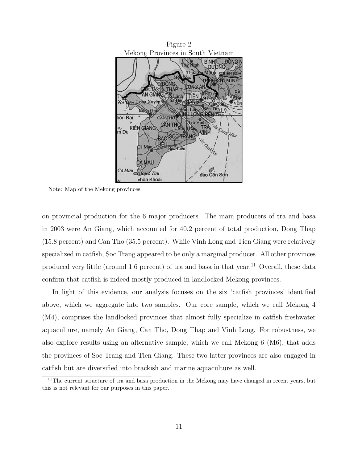

Note: Map of the Mekong provinces.

on provincial production for the 6 major producers. The main producers of tra and basa in 2003 were An Giang, which accounted for 40.2 percent of total production, Dong Thap (15.8 percent) and Can Tho (35.5 percent). While Vinh Long and Tien Giang were relatively specialized in catfish, Soc Trang appeared to be only a marginal producer. All other provinces produced very little (around 1.6 percent) of tra and basa in that year.<sup>11</sup> Overall, these data confirm that catfish is indeed mostly produced in landlocked Mekong provinces.

In light of this evidence, our analysis focuses on the six 'catfish provinces' identified above, which we aggregate into two samples. Our core sample, which we call Mekong 4 (M4), comprises the landlocked provinces that almost fully specialize in catfish freshwater aquaculture, namely An Giang, Can Tho, Dong Thap and Vinh Long. For robustness, we also explore results using an alternative sample, which we call Mekong 6 (M6), that adds the provinces of Soc Trang and Tien Giang. These two latter provinces are also engaged in catfish but are diversified into brackish and marine aquaculture as well.

<sup>&</sup>lt;sup>11</sup>The current structure of tra and basa production in the Mekong may have changed in recent years, but this is not relevant for our purposes in this paper.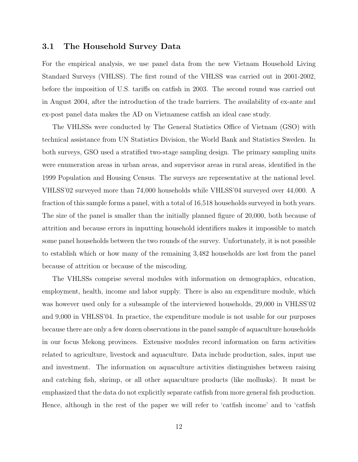#### 3.1 The Household Survey Data

For the empirical analysis, we use panel data from the new Vietnam Household Living Standard Surveys (VHLSS). The first round of the VHLSS was carried out in 2001-2002, before the imposition of U.S. tariffs on catfish in 2003. The second round was carried out in August 2004, after the introduction of the trade barriers. The availability of ex-ante and ex-post panel data makes the AD on Vietnamese catfish an ideal case study.

The VHLSSs were conducted by The General Statistics Office of Vietnam (GSO) with technical assistance from UN Statistics Division, the World Bank and Statistics Sweden. In both surveys, GSO used a stratified two-stage sampling design. The primary sampling units were enumeration areas in urban areas, and supervisor areas in rural areas, identified in the 1999 Population and Housing Census. The surveys are representative at the national level. VHLSS'02 surveyed more than 74,000 households while VHLSS'04 surveyed over 44,000. A fraction of this sample forms a panel, with a total of 16,518 households surveyed in both years. The size of the panel is smaller than the initially planned figure of 20,000, both because of attrition and because errors in inputting household identifiers makes it impossible to match some panel households between the two rounds of the survey. Unfortunately, it is not possible to establish which or how many of the remaining 3,482 households are lost from the panel because of attrition or because of the miscoding.

The VHLSSs comprise several modules with information on demographics, education, employment, health, income and labor supply. There is also an expenditure module, which was however used only for a subsample of the interviewed households, 29,000 in VHLSS'02 and 9,000 in VHLSS'04. In practice, the expenditure module is not usable for our purposes because there are only a few dozen observations in the panel sample of aquaculture households in our focus Mekong provinces. Extensive modules record information on farm activities related to agriculture, livestock and aquaculture. Data include production, sales, input use and investment. The information on aquaculture activities distinguishes between raising and catching fish, shrimp, or all other aquaculture products (like mollusks). It must be emphasized that the data do not explicitly separate catfish from more general fish production. Hence, although in the rest of the paper we will refer to 'catfish income' and to 'catfish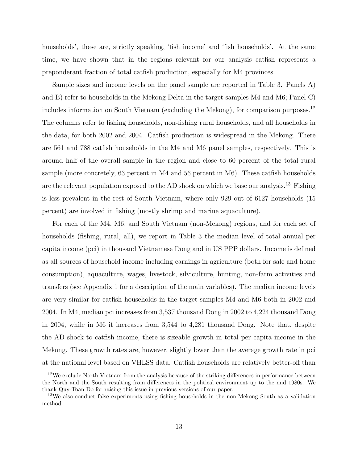households', these are, strictly speaking, 'fish income' and 'fish households'. At the same time, we have shown that in the regions relevant for our analysis catfish represents a preponderant fraction of total catfish production, especially for M4 provinces.

Sample sizes and income levels on the panel sample are reported in Table 3. Panels A) and B) refer to households in the Mekong Delta in the target samples M4 and M6; Panel C) includes information on South Vietnam (excluding the Mekong), for comparison purposes.<sup>12</sup> The columns refer to fishing households, non-fishing rural households, and all households in the data, for both 2002 and 2004. Catfish production is widespread in the Mekong. There are 561 and 788 catfish households in the M4 and M6 panel samples, respectively. This is around half of the overall sample in the region and close to 60 percent of the total rural sample (more concretely, 63 percent in M4 and 56 percent in M6). These catfish households are the relevant population exposed to the AD shock on which we base our analysis.<sup>13</sup> Fishing is less prevalent in the rest of South Vietnam, where only 929 out of 6127 households (15 percent) are involved in fishing (mostly shrimp and marine aquaculture).

For each of the M4, M6, and South Vietnam (non-Mekong) regions, and for each set of households (fishing, rural, all), we report in Table 3 the median level of total annual per capita income (pci) in thousand Vietnamese Dong and in US PPP dollars. Income is defined as all sources of household income including earnings in agriculture (both for sale and home consumption), aquaculture, wages, livestock, silviculture, hunting, non-farm activities and transfers (see Appendix 1 for a description of the main variables). The median income levels are very similar for catfish households in the target samples M4 and M6 both in 2002 and 2004. In M4, median pci increases from 3,537 thousand Dong in 2002 to 4,224 thousand Dong in 2004, while in M6 it increases from 3,544 to 4,281 thousand Dong. Note that, despite the AD shock to catfish income, there is sizeable growth in total per capita income in the Mekong. These growth rates are, however, slightly lower than the average growth rate in pci at the national level based on VHLSS data. Catfish households are relatively better-off than

<sup>&</sup>lt;sup>12</sup>We exclude North Vietnam from the analysis because of the striking differences in performance between the North and the South resulting from differences in the political environment up to the mid 1980s. We thank Quy-Toan Do for raising this issue in previous versions of our paper.

<sup>13</sup>We also conduct false experiments using fishing households in the non-Mekong South as a validation method.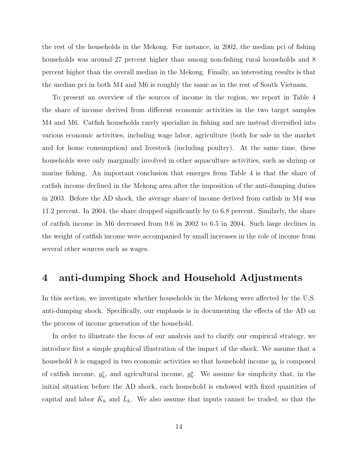the rest of the households in the Mekong. For instance, in 2002, the median pci of fishing households was around 27 percent higher than among non-fishing rural households and 8 percent higher than the overall median in the Mekong. Finally, an interesting results is that the median pci in both M4 and M6 is roughly the same as in the rest of South Vietnam.

To present an overview of the sources of income in the region, we report in Table 4 the share of income derived from different economic activities in the two target samples M4 and M6. Catfish households rarely specialize in fishing and are instead diversified into various economic activities, including wage labor, agriculture (both for sale in the market and for home consumption) and livestock (including poultry). At the same time, these households were only marginally involved in other aquaculture activities, such as shrimp or marine fishing. An important conclusion that emerges from Table 4 is that the share of catfish income declined in the Mekong area after the imposition of the anti-dumping duties in 2003. Before the AD shock, the average share of income derived from catfish in M4 was 11.2 percent. In 2004, the share dropped significantly by to 6.8 percent. Similarly, the share of catfish income in M6 decreased from 9.6 in 2002 to 6.5 in 2004. Such large declines in the weight of catfish income were accompanied by small increases in the role of income from several other sources such as wages.

## 4 anti-dumping Shock and Household Adjustments

In this section, we investigate whether households in the Mekong were affected by the U.S. anti-dumping shock. Specifically, our emphasis is in documenting the effects of the AD on the process of income generation of the household.

In order to illustrate the focus of our analysis and to clarify our empirical strategy, we introduce first a simple graphical illustration of the impact of the shock. We assume that a household  $h$  is engaged in two economic activities so that household income  $y_h$  is composed of catfish income,  $y_h^c$ , and agricultural income,  $y_h^a$ . We assume for simplicity that, in the initial situation before the AD shock, each household is endowed with fixed quantities of capital and labor  $\bar{K}_h$  and  $\bar{L}_h$ . We also assume that inputs cannot be traded, so that the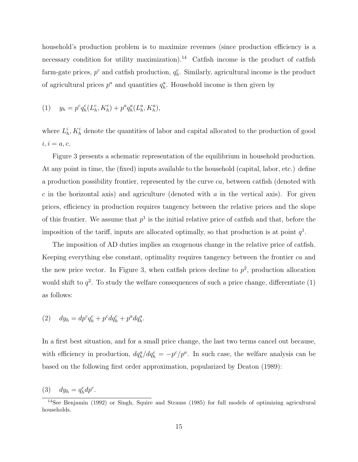household's production problem is to maximize revenues (since production efficiency is a necessary condition for utility maximization).<sup>14</sup> Catfish income is the product of catfish farm-gate prices,  $p^c$  and catfish production,  $q_h^c$ . Similarly, agricultural income is the product of agricultural prices  $p^a$  and quantities  $q^a_h$ . Household income is then given by

(1) 
$$
y_h = p^c q_h^c (L_h^c, K_h^c) + p^a q_h^a (L_h^a, K_h^a),
$$

where  $L_h^i$ ,  $K_h^i$  denote the quantities of labor and capital allocated to the production of good  $i, i = a, c.$ 

Figure 3 presents a schematic representation of the equilibrium in household production. At any point in time, the (fixed) inputs available to the household (capital, labor, etc.) define a production possibility frontier, represented by the curve ca, between catfish (denoted with  $c$  in the horizontal axis) and agriculture (denoted with  $a$  in the vertical axis). For given prices, efficiency in production requires tangency between the relative prices and the slope of this frontier. We assume that  $p^1$  is the initial relative price of catfish and that, before the imposition of the tariff, inputs are allocated optimally, so that production is at point  $q<sup>1</sup>$ .

The imposition of AD duties implies an exogenous change in the relative price of catfish. Keeping everything else constant, optimality requires tangency between the frontier ca and the new price vector. In Figure 3, when catfish prices decline to  $p^2$ , production allocation would shift to  $q^2$ . To study the welfare consequences of such a price change, differentiate (1) as follows:

$$
(2) \quad dy_h = dp^c q_h^c + p^c dq_h^c + p^a dq_h^a.
$$

In a first best situation, and for a small price change, the last two terms cancel out because, with efficiency in production,  $dq_h^a/dq_h^c = -p^c/p^a$ . In such case, the welfare analysis can be based on the following first order approximation, popularized by Deaton (1989):

(3)  $dy_h = q_h^c dp^c$ .

<sup>14</sup>See Benjamin (1992) or Singh, Squire and Strauss (1985) for full models of optimizing agricultural households.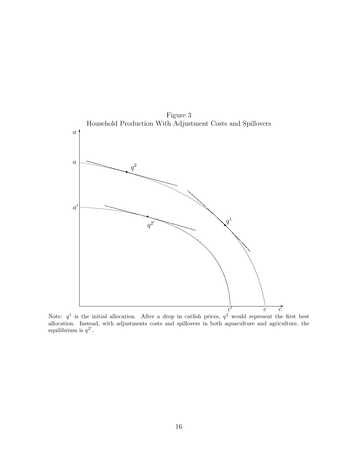

Note:  $q^1$  is the initial allocation. After a drop in catfish prices,  $q^2$  would represent the first best allocation. Instead, with adjustments costs and spillovers in both aquaculture and agriculture, the equilibrium is  $q^{2'}$ .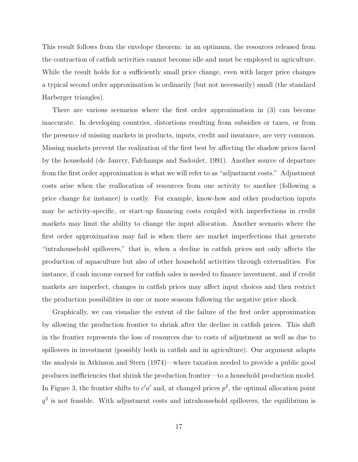This result follows from the envelope theorem: in an optimum, the resources released from the contraction of catfish activities cannot become idle and must be employed in agriculture. While the result holds for a sufficiently small price change, even with larger price changes a typical second order approximation is ordinarily (but not necessarily) small (the standard Harberger triangles).

There are various scenarios where the first order approximation in (3) can become inaccurate. In developing countries, distortions resulting from subsidies or taxes, or from the presence of missing markets in products, inputs, credit and insurance, are very common. Missing markets prevent the realization of the first best by affecting the shadow prices faced by the household (de Janvry, Fafchamps and Sadoulet, 1991). Another source of departure from the first order approximation is what we will refer to as "adjustment costs." Adjustment costs arise when the reallocation of resources from one activity to another (following a price change for instance) is costly. For example, know-how and other production inputs may be activity-specific, or start-up financing costs coupled with imperfections in credit markets may limit the ability to change the input allocation. Another scenario where the first order approximation may fail is when there are market imperfections that generate "intrahousehold spillovers," that is, when a decline in catfish prices not only affects the production of aquaculture but also of other household activities through externalities. For instance, if cash income earned for catfish sales is needed to finance investment, and if credit markets are imperfect, changes in catfish prices may affect input choices and then restrict the production possibilities in one or more seasons following the negative price shock.

Graphically, we can visualize the extent of the failure of the first order approximation by allowing the production frontier to shrink after the decline in catfish prices. This shift in the frontier represents the loss of resources due to costs of adjustment as well as due to spillovers in investment (possibly both in catfish and in agriculture). Our argument adapts the analysis in Atkinson and Stern (1974)—where taxation needed to provide a public good produces inefficiencies that shrink the production frontier—to a household production model. In Figure 3, the frontier shifts to  $c'a'$  and, at changed prices  $p^2$ , the optimal allocation point  $q<sup>2</sup>$  is not feasible. With adjustment costs and intrahousehold spillovers, the equilibrium is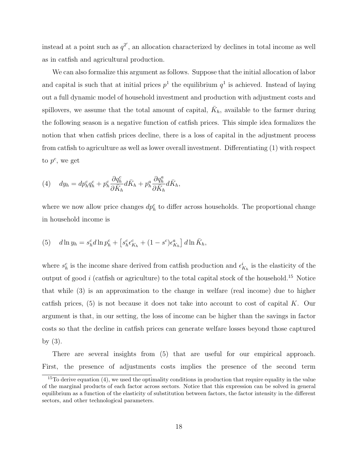instead at a point such as  $q^{2'}$ , an allocation characterized by declines in total income as well as in catfish and agricultural production.

We can also formalize this argument as follows. Suppose that the initial allocation of labor and capital is such that at initial prices  $p<sup>1</sup>$  the equilibrium  $q<sup>1</sup>$  is achieved. Instead of laying out a full dynamic model of household investment and production with adjustment costs and spillovers, we assume that the total amount of capital,  $\bar{K}_h$ , available to the farmer during the following season is a negative function of catfish prices. This simple idea formalizes the notion that when catfish prices decline, there is a loss of capital in the adjustment process from catfish to agriculture as well as lower overall investment. Differentiating (1) with respect to  $p^c$ , we get

(4) 
$$
dy_h = dp_h^c q_h^c + p_h^c \frac{\partial q_h^c}{\partial \bar{K}_h} d\bar{K}_h + p_h^a \frac{\partial q_h^a}{\partial \bar{K}_h} d\bar{K}_h,
$$

where we now allow price changes  $dp<sub>h</sub><sup>c</sup>$  to differ across households. The proportional change in household income is

(5) 
$$
d\ln y_h = s_h^c d\ln p_h^c + \left[s_h^c \epsilon_{K_h}^c + (1 - s^c) \epsilon_{K_h}^a\right] d\ln \bar{K}_h,
$$

where  $s_h^c$  is the income share derived from catfish production and  $\epsilon_{K_h}^i$  is the elasticity of the output of good  $i$  (catfish or agriculture) to the total capital stock of the household.<sup>15</sup> Notice that while (3) is an approximation to the change in welfare (real income) due to higher catfish prices,  $(5)$  is not because it does not take into account to cost of capital K. Our argument is that, in our setting, the loss of income can be higher than the savings in factor costs so that the decline in catfish prices can generate welfare losses beyond those captured by (3).

There are several insights from (5) that are useful for our empirical approach. First, the presence of adjustments costs implies the presence of the second term

 $15T$ o derive equation (4), we used the optimality conditions in production that require equality in the value of the marginal products of each factor across sectors. Notice that this expression can be solved in general equilibrium as a function of the elasticity of substitution between factors, the factor intensity in the different sectors, and other technological parameters.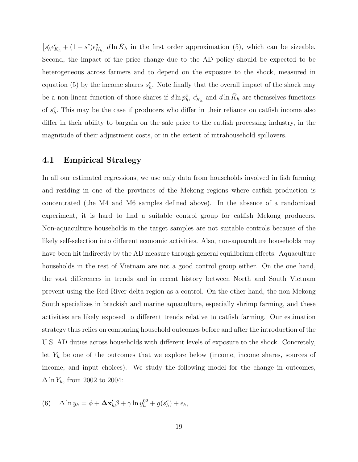$\left[s_h^c \epsilon_{K_h}^c + (1-s^c)\epsilon_{K_h}^a\right] d\ln \bar{K}_h$  in the first order approximation (5), which can be sizeable. Second, the impact of the price change due to the AD policy should be expected to be heterogeneous across farmers and to depend on the exposure to the shock, measured in equation (5) by the income shares  $s<sub>h</sub><sup>c</sup>$ . Note finally that the overall impact of the shock may be a non-linear function of those shares if  $d\ln p_h^c$ ,  $\epsilon_{K_h}^i$  and  $d\ln \bar{K}_h$  are themselves functions of  $s_h^c$ . This may be the case if producers who differ in their reliance on catfish income also differ in their ability to bargain on the sale price to the catfish processing industry, in the magnitude of their adjustment costs, or in the extent of intrahousehold spillovers.

#### 4.1 Empirical Strategy

In all our estimated regressions, we use only data from households involved in fish farming and residing in one of the provinces of the Mekong regions where catfish production is concentrated (the M4 and M6 samples defined above). In the absence of a randomized experiment, it is hard to find a suitable control group for catfish Mekong producers. Non-aquaculture households in the target samples are not suitable controls because of the likely self-selection into different economic activities. Also, non-aquaculture households may have been hit indirectly by the AD measure through general equilibrium effects. Aquaculture households in the rest of Vietnam are not a good control group either. On the one hand, the vast differences in trends and in recent history between North and South Vietnam prevent using the Red River delta region as a control. On the other hand, the non-Mekong South specializes in brackish and marine aquaculture, especially shrimp farming, and these activities are likely exposed to different trends relative to catfish farming. Our estimation strategy thus relies on comparing household outcomes before and after the introduction of the U.S. AD duties across households with different levels of exposure to the shock. Concretely, let  $Y_h$  be one of the outcomes that we explore below (income, income shares, sources of income, and input choices). We study the following model for the change in outcomes,  $\Delta \ln Y_h$ , from 2002 to 2004:

(6) 
$$
\Delta \ln y_h = \phi + \Delta \mathbf{x}_h' \beta + \gamma \ln y_h^{02} + g(s_h^c) + \epsilon_h,
$$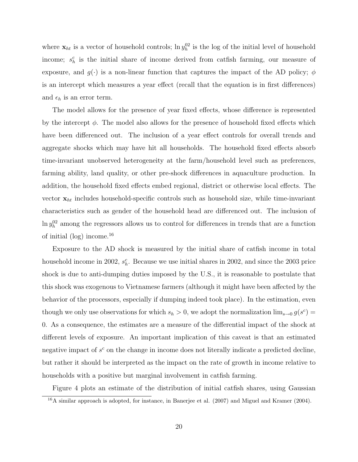where  $\mathbf{x}_{ht}$  is a vector of household controls;  $\ln y_h^{02}$  is the log of the initial level of household income;  $s_h^c$  is the initial share of income derived from catfish farming, our measure of exposure, and  $g(\cdot)$  is a non-linear function that captures the impact of the AD policy;  $\phi$ is an intercept which measures a year effect (recall that the equation is in first differences) and  $\epsilon_h$  is an error term.

The model allows for the presence of year fixed effects, whose difference is represented by the intercept  $\phi$ . The model also allows for the presence of household fixed effects which have been differenced out. The inclusion of a year effect controls for overall trends and aggregate shocks which may have hit all households. The household fixed effects absorb time-invariant unobserved heterogeneity at the farm/household level such as preferences, farming ability, land quality, or other pre-shock differences in aquaculture production. In addition, the household fixed effects embed regional, district or otherwise local effects. The vector  $x_{ht}$  includes household-specific controls such as household size, while time-invariant characteristics such as gender of the household head are differenced out. The inclusion of  $\ln y_h^{02}$  among the regressors allows us to control for differences in trends that are a function of initial  $(log)$  income.<sup>16</sup>

Exposure to the AD shock is measured by the initial share of catfish income in total household income in 2002,  $s_h^c$ . Because we use initial shares in 2002, and since the 2003 price shock is due to anti-dumping duties imposed by the U.S., it is reasonable to postulate that this shock was exogenous to Vietnamese farmers (although it might have been affected by the behavior of the processors, especially if dumping indeed took place). In the estimation, even though we only use observations for which  $s_h > 0$ , we adopt the normalization  $\lim_{s\to 0} g(s^c)$ 0. As a consequence, the estimates are a measure of the differential impact of the shock at different levels of exposure. An important implication of this caveat is that an estimated negative impact of  $s^c$  on the change in income does not literally indicate a predicted decline, but rather it should be interpreted as the impact on the rate of growth in income relative to households with a positive but marginal involvement in catfish farming.

Figure 4 plots an estimate of the distribution of initial catfish shares, using Gaussian

<sup>16</sup>A similar approach is adopted, for instance, in Banerjee et al. (2007) and Miguel and Kramer (2004).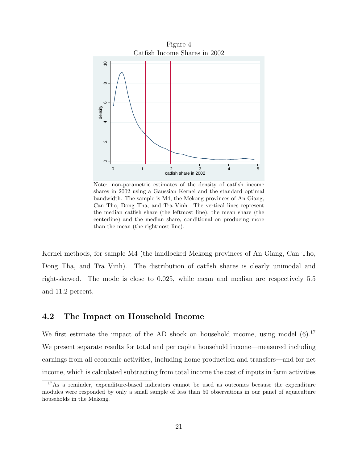

Note: non-parametric estimates of the density of catfish income shares in 2002 using a Gaussian Kernel and the standard optimal bandwidth. The sample is M4, the Mekong provinces of An Giang, Can Tho, Dong Tha, and Tra Vinh. The vertical lines represent the median catfish share (the leftmost line), the mean share (the centerline) and the median share, conditional on producing more than the mean (the rightmost line).

Kernel methods, for sample M4 (the landlocked Mekong provinces of An Giang, Can Tho, Dong Tha, and Tra Vinh). The distribution of catfish shares is clearly unimodal and right-skewed. The mode is close to 0.025, while mean and median are respectively 5.5 and 11.2 percent.

#### 4.2 The Impact on Household Income

We first estimate the impact of the AD shock on household income, using model  $(6)$ .<sup>17</sup> We present separate results for total and per capita household income—measured including earnings from all economic activities, including home production and transfers—and for net income, which is calculated subtracting from total income the cost of inputs in farm activities

<sup>&</sup>lt;sup>17</sup>As a reminder, expenditure-based indicators cannot be used as outcomes because the expenditure modules were responded by only a small sample of less than 50 observations in our panel of aquaculture households in the Mekong.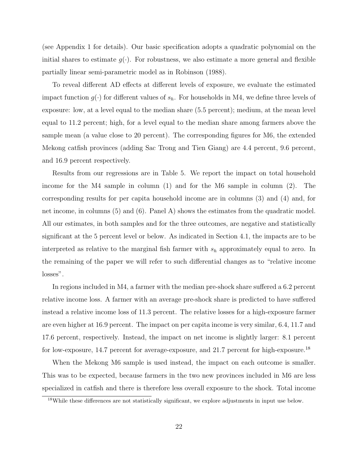(see Appendix 1 for details). Our basic specification adopts a quadratic polynomial on the initial shares to estimate  $g(\cdot)$ . For robustness, we also estimate a more general and flexible partially linear semi-parametric model as in Robinson (1988).

To reveal different AD effects at different levels of exposure, we evaluate the estimated impact function  $g(\cdot)$  for different values of  $s_h$ . For households in M4, we define three levels of exposure: low, at a level equal to the median share (5.5 percent); medium, at the mean level equal to 11.2 percent; high, for a level equal to the median share among farmers above the sample mean (a value close to 20 percent). The corresponding figures for M6, the extended Mekong catfish provinces (adding Sac Trong and Tien Giang) are 4.4 percent, 9.6 percent, and 16.9 percent respectively.

Results from our regressions are in Table 5. We report the impact on total household income for the M4 sample in column (1) and for the M6 sample in column (2). The corresponding results for per capita household income are in columns (3) and (4) and, for net income, in columns (5) and (6). Panel A) shows the estimates from the quadratic model. All our estimates, in both samples and for the three outcomes, are negative and statistically significant at the 5 percent level or below. As indicated in Section 4.1, the impacts are to be interpreted as relative to the marginal fish farmer with  $s_h$  approximately equal to zero. In the remaining of the paper we will refer to such differential changes as to "relative income losses".

In regions included in M4, a farmer with the median pre-shock share suffered a 6.2 percent relative income loss. A farmer with an average pre-shock share is predicted to have suffered instead a relative income loss of 11.3 percent. The relative losses for a high-exposure farmer are even higher at 16.9 percent. The impact on per capita income is very similar, 6.4, 11.7 and 17.6 percent, respectively. Instead, the impact on net income is slightly larger: 8.1 percent for low-exposure, 14.7 percent for average-exposure, and 21.7 percent for high-exposure.<sup>18</sup>

When the Mekong M6 sample is used instead, the impact on each outcome is smaller. This was to be expected, because farmers in the two new provinces included in M6 are less specialized in catfish and there is therefore less overall exposure to the shock. Total income

<sup>18</sup>While these differences are not statistically significant, we explore adjustments in input use below.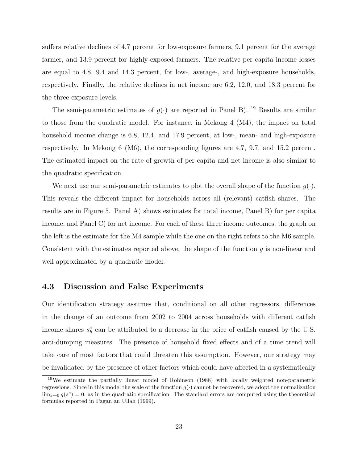suffers relative declines of 4.7 percent for low-exposure farmers, 9.1 percent for the average farmer, and 13.9 percent for highly-exposed farmers. The relative per capita income losses are equal to 4.8, 9.4 and 14.3 percent, for low-, average-, and high-exposure households, respectively. Finally, the relative declines in net income are 6.2, 12.0, and 18.3 percent for the three exposure levels.

The semi-parametric estimates of  $q(\cdot)$  are reported in Panel B). <sup>19</sup> Results are similar to those from the quadratic model. For instance, in Mekong 4 (M4), the impact on total household income change is 6.8, 12.4, and 17.9 percent, at low-, mean- and high-exposure respectively. In Mekong 6 (M6), the corresponding figures are 4.7, 9.7, and 15.2 percent. The estimated impact on the rate of growth of per capita and net income is also similar to the quadratic specification.

We next use our semi-parametric estimates to plot the overall shape of the function  $g(\cdot)$ . This reveals the different impact for households across all (relevant) catfish shares. The results are in Figure 5. Panel A) shows estimates for total income, Panel B) for per capita income, and Panel C) for net income. For each of these three income outcomes, the graph on the left is the estimate for the M4 sample while the one on the right refers to the M6 sample. Consistent with the estimates reported above, the shape of the function  $g$  is non-linear and well approximated by a quadratic model.

#### 4.3 Discussion and False Experiments

Our identification strategy assumes that, conditional on all other regressors, differences in the change of an outcome from 2002 to 2004 across households with different catfish income shares  $s<sub>h</sub><sup>c</sup>$  can be attributed to a decrease in the price of catfish caused by the U.S. anti-dumping measures. The presence of household fixed effects and of a time trend will take care of most factors that could threaten this assumption. However, our strategy may be invalidated by the presence of other factors which could have affected in a systematically

<sup>19</sup>We estimate the partially linear model of Robinson (1988) with locally weighted non-parametric regressions. Since in this model the scale of the function  $g(\cdot)$  cannot be recovered, we adopt the normalization  $\lim_{s\to 0} g(s^c) = 0$ , as in the quadratic specification. The standard errors are computed using the theoretical formulas reported in Pagan an Ullah (1999).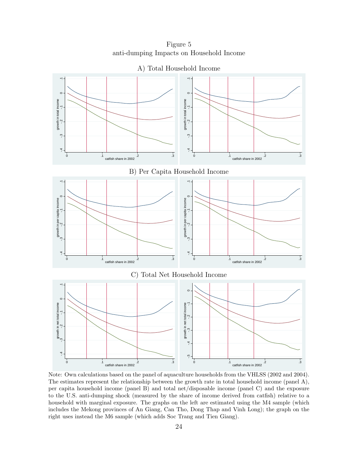Figure 5 anti-dumping Impacts on Household Income



Note: Own calculations based on the panel of aquaculture households from the VHLSS (2002 and 2004). The estimates represent the relationship between the growth rate in total household income (panel A), per capita household income (panel B) and total net/disposable income (panel C) and the exposure to the U.S. anti-dumping shock (measured by the share of income derived from catfish) relative to a household with marginal exposure. The graphs on the left are estimated using the M4 sample (which includes the Mekong provinces of An Giang, Can Tho, Dong Thap and Vinh Long); the graph on the right uses instead the M6 sample (which adds Soc Trang and Tien Giang).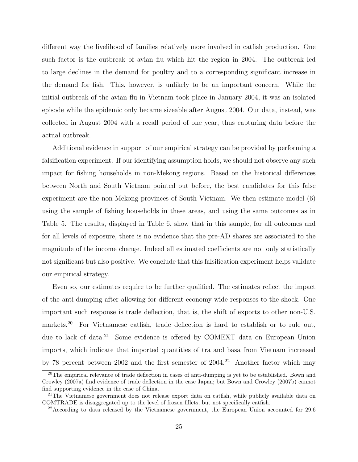different way the livelihood of families relatively more involved in catfish production. One such factor is the outbreak of avian flu which hit the region in 2004. The outbreak led to large declines in the demand for poultry and to a corresponding significant increase in the demand for fish. This, however, is unlikely to be an important concern. While the initial outbreak of the avian flu in Vietnam took place in January 2004, it was an isolated episode while the epidemic only became sizeable after August 2004. Our data, instead, was collected in August 2004 with a recall period of one year, thus capturing data before the actual outbreak.

Additional evidence in support of our empirical strategy can be provided by performing a falsification experiment. If our identifying assumption holds, we should not observe any such impact for fishing households in non-Mekong regions. Based on the historical differences between North and South Vietnam pointed out before, the best candidates for this false experiment are the non-Mekong provinces of South Vietnam. We then estimate model (6) using the sample of fishing households in these areas, and using the same outcomes as in Table 5. The results, displayed in Table 6, show that in this sample, for all outcomes and for all levels of exposure, there is no evidence that the pre-AD shares are associated to the magnitude of the income change. Indeed all estimated coefficients are not only statistically not significant but also positive. We conclude that this falsification experiment helps validate our empirical strategy.

Even so, our estimates require to be further qualified. The estimates reflect the impact of the anti-dumping after allowing for different economy-wide responses to the shock. One important such response is trade deflection, that is, the shift of exports to other non-U.S. markets.<sup>20</sup> For Vietnamese catfish, trade deflection is hard to establish or to rule out, due to lack of data.<sup>21</sup> Some evidence is offered by COMEXT data on European Union imports, which indicate that imported quantities of tra and basa from Vietnam increased by 78 percent between 2002 and the first semester of 2004.<sup>22</sup> Another factor which may

<sup>20</sup>The empirical relevance of trade deflection in cases of anti-dumping is yet to be established. Bown and Crowley (2007a) find evidence of trade deflection in the case Japan; but Bown and Crowley (2007b) cannot find supporting evidence in the case of China.

<sup>&</sup>lt;sup>21</sup>The Vietnamese government does not release export data on catfish, while publicly available data on COMTRADE is disaggregated up to the level of frozen fillets, but not specifically catfish.

<sup>&</sup>lt;sup>22</sup> According to data released by the Vietnamese government, the European Union accounted for 29.6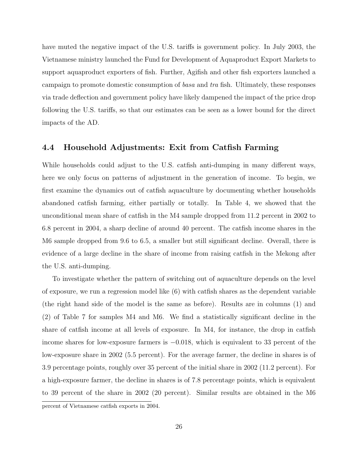have muted the negative impact of the U.S. tariffs is government policy. In July 2003, the Vietnamese ministry launched the Fund for Development of Aquaproduct Export Markets to support aquaproduct exporters of fish. Further, Agifish and other fish exporters launched a campaign to promote domestic consumption of basa and tra fish. Ultimately, these responses via trade deflection and government policy have likely dampened the impact of the price drop following the U.S. tariffs, so that our estimates can be seen as a lower bound for the direct impacts of the AD.

#### 4.4 Household Adjustments: Exit from Catfish Farming

While households could adjust to the U.S. catfish anti-dumping in many different ways, here we only focus on patterns of adjustment in the generation of income. To begin, we first examine the dynamics out of catfish aquaculture by documenting whether households abandoned catfish farming, either partially or totally. In Table 4, we showed that the unconditional mean share of catfish in the M4 sample dropped from 11.2 percent in 2002 to 6.8 percent in 2004, a sharp decline of around 40 percent. The catfish income shares in the M6 sample dropped from 9.6 to 6.5, a smaller but still significant decline. Overall, there is evidence of a large decline in the share of income from raising catfish in the Mekong after the U.S. anti-dumping.

To investigate whether the pattern of switching out of aquaculture depends on the level of exposure, we run a regression model like (6) with catfish shares as the dependent variable (the right hand side of the model is the same as before). Results are in columns (1) and (2) of Table 7 for samples M4 and M6. We find a statistically significant decline in the share of catfish income at all levels of exposure. In M4, for instance, the drop in catfish income shares for low-exposure farmers is −0.018, which is equivalent to 33 percent of the low-exposure share in 2002 (5.5 percent). For the average farmer, the decline in shares is of 3.9 percentage points, roughly over 35 percent of the initial share in 2002 (11.2 percent). For a high-exposure farmer, the decline in shares is of 7.8 percentage points, which is equivalent to 39 percent of the share in 2002 (20 percent). Similar results are obtained in the M6 percent of Vietnamese catfish exports in 2004.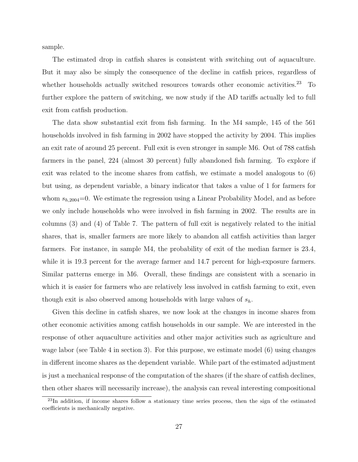sample.

The estimated drop in catfish shares is consistent with switching out of aquaculture. But it may also be simply the consequence of the decline in catfish prices, regardless of whether households actually switched resources towards other economic activities.<sup>23</sup> To further explore the pattern of switching, we now study if the AD tariffs actually led to full exit from catfish production.

The data show substantial exit from fish farming. In the M4 sample, 145 of the 561 households involved in fish farming in 2002 have stopped the activity by 2004. This implies an exit rate of around 25 percent. Full exit is even stronger in sample M6. Out of 788 catfish farmers in the panel, 224 (almost 30 percent) fully abandoned fish farming. To explore if exit was related to the income shares from catfish, we estimate a model analogous to (6) but using, as dependent variable, a binary indicator that takes a value of 1 for farmers for whom  $s_{h,2004}=0$ . We estimate the regression using a Linear Probability Model, and as before we only include households who were involved in fish farming in 2002. The results are in columns (3) and (4) of Table 7. The pattern of full exit is negatively related to the initial shares, that is, smaller farmers are more likely to abandon all catfish activities than larger farmers. For instance, in sample M4, the probability of exit of the median farmer is 23.4, while it is 19.3 percent for the average farmer and 14.7 percent for high-exposure farmers. Similar patterns emerge in M6. Overall, these findings are consistent with a scenario in which it is easier for farmers who are relatively less involved in catfish farming to exit, even though exit is also observed among households with large values of  $s_h$ .

Given this decline in catfish shares, we now look at the changes in income shares from other economic activities among catfish households in our sample. We are interested in the response of other aquaculture activities and other major activities such as agriculture and wage labor (see Table 4 in section 3). For this purpose, we estimate model (6) using changes in different income shares as the dependent variable. While part of the estimated adjustment is just a mechanical response of the computation of the shares (if the share of catfish declines, then other shares will necessarily increase), the analysis can reveal interesting compositional

<sup>&</sup>lt;sup>23</sup>In addition, if income shares follow a stationary time series process, then the sign of the estimated coefficients is mechanically negative.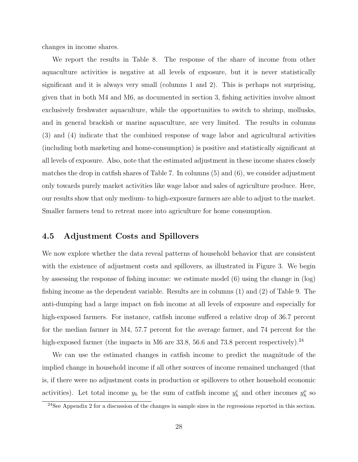changes in income shares.

We report the results in Table 8. The response of the share of income from other aquaculture activities is negative at all levels of exposure, but it is never statistically significant and it is always very small (columns 1 and 2). This is perhaps not surprising, given that in both M4 and M6, as documented in section 3, fishing activities involve almost exclusively freshwater aquaculture, while the opportunities to switch to shrimp, mollusks, and in general brackish or marine aquaculture, are very limited. The results in columns (3) and (4) indicate that the combined response of wage labor and agricultural activities (including both marketing and home-consumption) is positive and statistically significant at all levels of exposure. Also, note that the estimated adjustment in these income shares closely matches the drop in catfish shares of Table 7. In columns (5) and (6), we consider adjustment only towards purely market activities like wage labor and sales of agriculture produce. Here, our results show that only medium- to high-exposure farmers are able to adjust to the market. Smaller farmers tend to retreat more into agriculture for home consumption.

#### 4.5 Adjustment Costs and Spillovers

We now explore whether the data reveal patterns of household behavior that are consistent with the existence of adjustment costs and spillovers, as illustrated in Figure 3. We begin by assessing the response of fishing income: we estimate model (6) using the change in (log) fishing income as the dependent variable. Results are in columns (1) and (2) of Table 9. The anti-dumping had a large impact on fish income at all levels of exposure and especially for high-exposed farmers. For instance, catfish income suffered a relative drop of 36.7 percent for the median farmer in M4, 57.7 percent for the average farmer, and 74 percent for the high-exposed farmer (the impacts in M6 are 33.8, 56.6 and 73.8 percent respectively).<sup>24</sup>

We can use the estimated changes in catfish income to predict the magnitude of the implied change in household income if all other sources of income remained unchanged (that is, if there were no adjustment costs in production or spillovers to other household economic activities). Let total income  $y_h$  be the sum of catfish income  $y_h^c$  and other incomes  $y_h^o$  so

<sup>&</sup>lt;sup>24</sup>See Appendix 2 for a discussion of the changes in sample sizes in the regressions reported in this section.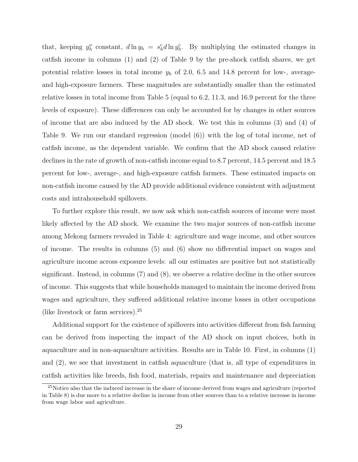that, keeping  $y_h^o$  constant,  $d \ln y_h = s_h^c d \ln y_h^c$ . By multiplying the estimated changes in catfish income in columns (1) and (2) of Table 9 by the pre-shock catfish shares, we get potential relative losses in total income  $y_h$  of 2.0, 6.5 and 14.8 percent for low-, averageand high-exposure farmers. These magnitudes are substantially smaller than the estimated relative losses in total income from Table 5 (equal to 6.2, 11.3, and 16.9 percent for the three levels of exposure). These differences can only be accounted for by changes in other sources of income that are also induced by the AD shock. We test this in columns (3) and (4) of Table 9. We run our standard regression (model (6)) with the log of total income, net of catfish income, as the dependent variable. We confirm that the AD shock caused relative declines in the rate of growth of non-catfish income equal to 8.7 percent, 14.5 percent and 18.5 percent for low-, average-, and high-exposure catfish farmers. These estimated impacts on non-catfish income caused by the AD provide additional evidence consistent with adjustment costs and intrahousehold spillovers.

To further explore this result, we now ask which non-catfish sources of income were most likely affected by the AD shock. We examine the two major sources of non-catfish income among Mekong farmers revealed in Table 4: agriculture and wage income, and other sources of income. The results in columns (5) and (6) show no differential impact on wages and agriculture income across exposure levels: all our estimates are positive but not statistically significant. Instead, in columns (7) and (8), we observe a relative decline in the other sources of income. This suggests that while households managed to maintain the income derived from wages and agriculture, they suffered additional relative income losses in other occupations (like livestock or farm services).<sup>25</sup>

Additional support for the existence of spillovers into activities different from fish farming can be derived from inspecting the impact of the AD shock on input choices, both in aquaculture and in non-aquaculture activities. Results are in Table 10. First, in columns (1) and (2), we see that investment in catfish aquaculture (that is, all type of expenditures in catfish activities like breeds, fish food, materials, repairs and maintenance and depreciation

<sup>&</sup>lt;sup>25</sup>Notice also that the induced increase in the share of income derived from wages and agriculture (reported in Table 8) is due more to a relative decline in income from other sources than to a relative increase in income from wage labor and agriculture.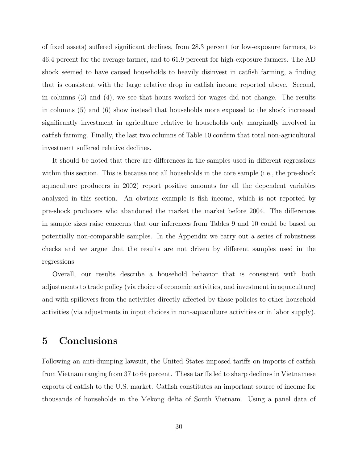of fixed assets) suffered significant declines, from 28.3 percent for low-exposure farmers, to 46.4 percent for the average farmer, and to 61.9 percent for high-exposure farmers. The AD shock seemed to have caused households to heavily disinvest in catfish farming, a finding that is consistent with the large relative drop in catfish income reported above. Second, in columns (3) and (4), we see that hours worked for wages did not change. The results in columns (5) and (6) show instead that households more exposed to the shock increased significantly investment in agriculture relative to households only marginally involved in catfish farming. Finally, the last two columns of Table 10 confirm that total non-agricultural investment suffered relative declines.

It should be noted that there are differences in the samples used in different regressions within this section. This is because not all households in the core sample (i.e., the pre-shock aquaculture producers in 2002) report positive amounts for all the dependent variables analyzed in this section. An obvious example is fish income, which is not reported by pre-shock producers who abandoned the market the market before 2004. The differences in sample sizes raise concerns that our inferences from Tables 9 and 10 could be based on potentially non-comparable samples. In the Appendix we carry out a series of robustness checks and we argue that the results are not driven by different samples used in the regressions.

Overall, our results describe a household behavior that is consistent with both adjustments to trade policy (via choice of economic activities, and investment in aquaculture) and with spillovers from the activities directly affected by those policies to other household activities (via adjustments in input choices in non-aquaculture activities or in labor supply).

## 5 Conclusions

Following an anti-dumping lawsuit, the United States imposed tariffs on imports of catfish from Vietnam ranging from 37 to 64 percent. These tariffs led to sharp declines in Vietnamese exports of catfish to the U.S. market. Catfish constitutes an important source of income for thousands of households in the Mekong delta of South Vietnam. Using a panel data of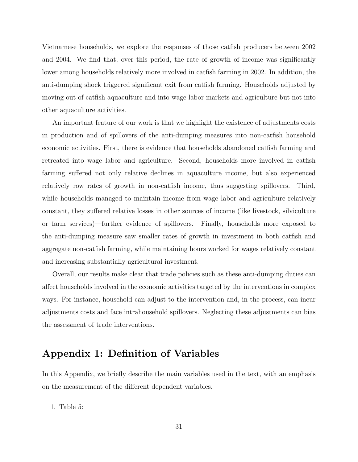Vietnamese households, we explore the responses of those catfish producers between 2002 and 2004. We find that, over this period, the rate of growth of income was significantly lower among households relatively more involved in catfish farming in 2002. In addition, the anti-dumping shock triggered significant exit from catfish farming. Households adjusted by moving out of catfish aquaculture and into wage labor markets and agriculture but not into other aquaculture activities.

An important feature of our work is that we highlight the existence of adjustments costs in production and of spillovers of the anti-dumping measures into non-catfish household economic activities. First, there is evidence that households abandoned catfish farming and retreated into wage labor and agriculture. Second, households more involved in catfish farming suffered not only relative declines in aquaculture income, but also experienced relatively row rates of growth in non-catfish income, thus suggesting spillovers. Third, while households managed to maintain income from wage labor and agriculture relatively constant, they suffered relative losses in other sources of income (like livestock, silviculture or farm services)—further evidence of spillovers. Finally, households more exposed to the anti-dumping measure saw smaller rates of growth in investment in both catfish and aggregate non-catfish farming, while maintaining hours worked for wages relatively constant and increasing substantially agricultural investment.

Overall, our results make clear that trade policies such as these anti-dumping duties can affect households involved in the economic activities targeted by the interventions in complex ways. For instance, household can adjust to the intervention and, in the process, can incur adjustments costs and face intrahousehold spillovers. Neglecting these adjustments can bias the assessment of trade interventions.

## Appendix 1: Definition of Variables

In this Appendix, we briefly describe the main variables used in the text, with an emphasis on the measurement of the different dependent variables.

1. Table 5: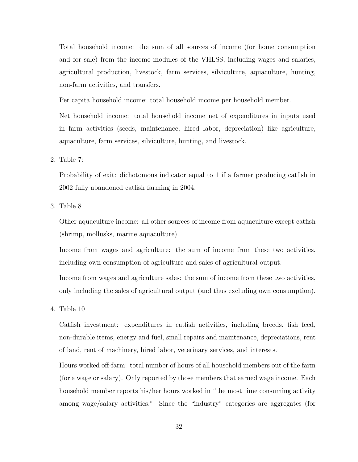Total household income: the sum of all sources of income (for home consumption and for sale) from the income modules of the VHLSS, including wages and salaries, agricultural production, livestock, farm services, silviculture, aquaculture, hunting, non-farm activities, and transfers.

Per capita household income: total household income per household member.

Net household income: total household income net of expenditures in inputs used in farm activities (seeds, maintenance, hired labor, depreciation) like agriculture, aquaculture, farm services, silviculture, hunting, and livestock.

2. Table 7:

Probability of exit: dichotomous indicator equal to 1 if a farmer producing catfish in 2002 fully abandoned catfish farming in 2004.

3. Table 8

Other aquaculture income: all other sources of income from aquaculture except catfish (shrimp, mollusks, marine aquaculture).

Income from wages and agriculture: the sum of income from these two activities, including own consumption of agriculture and sales of agricultural output.

Income from wages and agriculture sales: the sum of income from these two activities, only including the sales of agricultural output (and thus excluding own consumption).

4. Table 10

Catfish investment: expenditures in catfish activities, including breeds, fish feed, non-durable items, energy and fuel, small repairs and maintenance, depreciations, rent of land, rent of machinery, hired labor, veterinary services, and interests.

Hours worked off-farm: total number of hours of all household members out of the farm (for a wage or salary). Only reported by those members that earned wage income. Each household member reports his/her hours worked in "the most time consuming activity among wage/salary activities." Since the "industry" categories are aggregates (for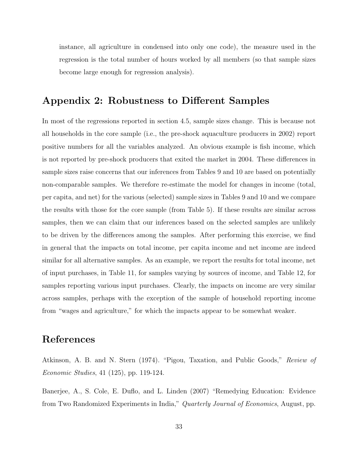instance, all agriculture in condensed into only one code), the measure used in the regression is the total number of hours worked by all members (so that sample sizes become large enough for regression analysis).

## Appendix 2: Robustness to Different Samples

In most of the regressions reported in section 4.5, sample sizes change. This is because not all households in the core sample (i.e., the pre-shock aquaculture producers in 2002) report positive numbers for all the variables analyzed. An obvious example is fish income, which is not reported by pre-shock producers that exited the market in 2004. These differences in sample sizes raise concerns that our inferences from Tables 9 and 10 are based on potentially non-comparable samples. We therefore re-estimate the model for changes in income (total, per capita, and net) for the various (selected) sample sizes in Tables 9 and 10 and we compare the results with those for the core sample (from Table 5). If these results are similar across samples, then we can claim that our inferences based on the selected samples are unlikely to be driven by the differences among the samples. After performing this exercise, we find in general that the impacts on total income, per capita income and net income are indeed similar for all alternative samples. As an example, we report the results for total income, net of input purchases, in Table 11, for samples varying by sources of income, and Table 12, for samples reporting various input purchases. Clearly, the impacts on income are very similar across samples, perhaps with the exception of the sample of household reporting income from "wages and agriculture," for which the impacts appear to be somewhat weaker.

## References

Atkinson, A. B. and N. Stern (1974). "Pigou, Taxation, and Public Goods," Review of Economic Studies, 41 (125), pp. 119-124.

Banerjee, A., S. Cole, E. Duflo, and L. Linden (2007) "Remedying Education: Evidence from Two Randomized Experiments in India," Quarterly Journal of Economics, August, pp.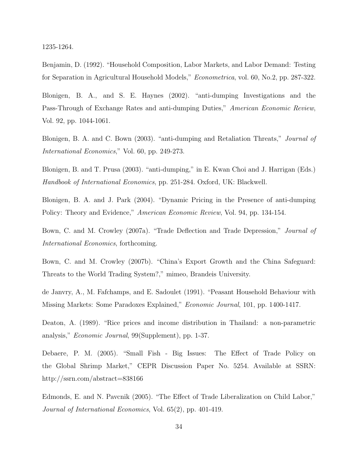1235-1264.

Benjamin, D. (1992). "Household Composition, Labor Markets, and Labor Demand: Testing for Separation in Agricultural Household Models," Econometrica, vol. 60, No.2, pp. 287-322.

Blonigen, B. A., and S. E. Haynes (2002). "anti-dumping Investigations and the Pass-Through of Exchange Rates and anti-dumping Duties," American Economic Review, Vol. 92, pp. 1044-1061.

Blonigen, B. A. and C. Bown (2003). "anti-dumping and Retaliation Threats," Journal of International Economics," Vol. 60, pp. 249-273.

Blonigen, B. and T. Prusa (2003). "anti-dumping," in E. Kwan Choi and J. Harrigan (Eds.) Handbook of International Economics, pp. 251-284. Oxford, UK: Blackwell.

Blonigen, B. A. and J. Park (2004). "Dynamic Pricing in the Presence of anti-dumping Policy: Theory and Evidence," American Economic Review, Vol. 94, pp. 134-154.

Bown, C. and M. Crowley (2007a). "Trade Deflection and Trade Depression," Journal of International Economics, forthcoming.

Bown, C. and M. Crowley (2007b). "China's Export Growth and the China Safeguard: Threats to the World Trading System?," mimeo, Brandeis University.

de Janvry, A., M. Fafchamps, and E. Sadoulet (1991). "Peasant Household Behaviour with Missing Markets: Some Paradoxes Explained," Economic Journal, 101, pp. 1400-1417.

Deaton, A. (1989). "Rice prices and income distribution in Thailand: a non-parametric analysis," Economic Journal, 99(Supplement), pp. 1-37.

Debaere, P. M. (2005). "Small Fish - Big Issues: The Effect of Trade Policy on the Global Shrimp Market," CEPR Discussion Paper No. 5254. Available at SSRN: http://ssrn.com/abstract=838166

Edmonds, E. and N. Pavcnik (2005). "The Effect of Trade Liberalization on Child Labor," Journal of International Economics, Vol. 65(2), pp. 401-419.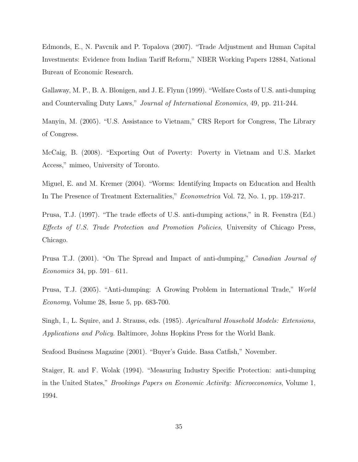Edmonds, E., N. Pavcnik and P. Topalova (2007). "Trade Adjustment and Human Capital Investments: Evidence from Indian Tariff Reform," NBER Working Papers 12884, National Bureau of Economic Research.

Gallaway, M. P., B. A. Blonigen, and J. E. Flynn (1999). "Welfare Costs of U.S. anti-dumping and Countervaling Duty Laws," Journal of International Economics, 49, pp. 211-244.

Manyin, M. (2005). "U.S. Assistance to Vietnam," CRS Report for Congress, The Library of Congress.

McCaig, B. (2008). "Exporting Out of Poverty: Poverty in Vietnam and U.S. Market Access," mimeo, University of Toronto.

Miguel, E. and M. Kremer (2004). "Worms: Identifying Impacts on Education and Health In The Presence of Treatment Externalities," Econometrica Vol. 72, No. 1, pp. 159-217.

Prusa, T.J. (1997). "The trade effects of U.S. anti-dumping actions," in R. Feenstra (Ed.) Effects of U.S. Trade Protection and Promotion Policies, University of Chicago Press, Chicago.

Prusa T.J. (2001). "On The Spread and Impact of anti-dumping," Canadian Journal of Economics 34, pp. 591– 611.

Prusa, T.J. (2005). "Anti-dumping: A Growing Problem in International Trade," World Economy, Volume 28, Issue 5, pp. 683-700.

Singh, I., L. Squire, and J. Strauss, eds. (1985). Agricultural Household Models: Extensions, Applications and Policy. Baltimore, Johns Hopkins Press for the World Bank.

Seafood Business Magazine (2001). "Buyer's Guide. Basa Catfish," November.

Staiger, R. and F. Wolak (1994). "Measuring Industry Specific Protection: anti-dumping in the United States," Brookings Papers on Economic Activity: Microeconomics, Volume 1, 1994.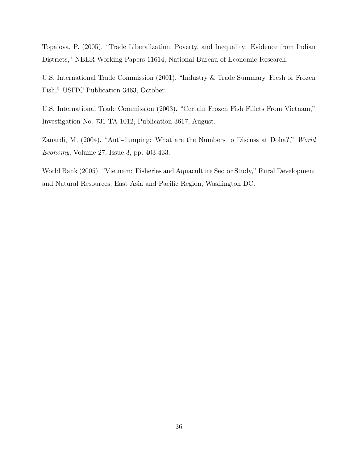Topalova, P. (2005). "Trade Liberalization, Poverty, and Inequality: Evidence from Indian Districts," NBER Working Papers 11614, National Bureau of Economic Research.

U.S. International Trade Commission (2001). "Industry & Trade Summary. Fresh or Frozen Fish," USITC Publication 3463, October.

U.S. International Trade Commission (2003). "Certain Frozen Fish Fillets From Vietnam," Investigation No. 731-TA-1012, Publication 3617, August.

Zanardi, M. (2004). "Anti-dumping: What are the Numbers to Discuss at Doha?," World Economy, Volume 27, Issue 3, pp. 403-433.

World Bank (2005). "Vietnam: Fisheries and Aquaculture Sector Study," Rural Development and Natural Resources, East Asia and Pacific Region, Washington DC.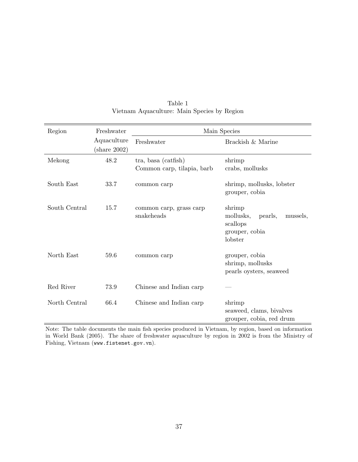| Region        | Freshwater                            |                                                   | Main Species                                                                        |
|---------------|---------------------------------------|---------------------------------------------------|-------------------------------------------------------------------------------------|
|               | Aquaculture<br>$(\text{share } 2002)$ | Freshwater                                        | Brackish & Marine                                                                   |
| Mekong        | 48.2                                  | tra, basa (catfish)<br>Common carp, tilapia, barb | shrimp<br>crabs, mollusks                                                           |
| South East    | 33.7                                  | common carp                                       | shrimp, mollusks, lobster<br>grouper, cobia                                         |
| South Central | 15.7                                  | common carp, grass carp<br>snakeheads             | shrimp<br>mollusks,<br>mussels,<br>pearls,<br>scallops<br>grouper, cobia<br>lobster |
| North East    | 59.6                                  | common carp                                       | grouper, cobia<br>shrimp, mollusks<br>pearls oysters, seaweed                       |
| Red River     | 73.9                                  | Chinese and Indian carp                           |                                                                                     |
| North Central | 66.4                                  | Chinese and Indian carp                           | shrimp<br>seaweed, clams, bivalves<br>grouper, cobia, red drum                      |

Table 1 Vietnam Aquaculture: Main Species by Region

Note: The table documents the main fish species produced in Vietnam, by region, based on information in World Bank (2005). The share of freshwater aquaculture by region in 2002 is from the Ministry of Fishing, Vietnam (www.fistenet.gov.vn).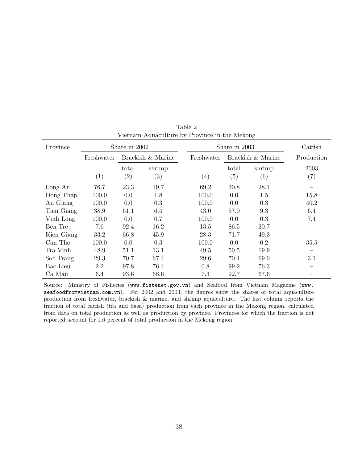| Province   |            | Share in 2002 |                   |                   | Share in 2003     |                   | Catfish           |
|------------|------------|---------------|-------------------|-------------------|-------------------|-------------------|-------------------|
|            | Freshwater |               | Brackish & Marine | Freshwater        |                   | Brackish & Marine | Production        |
|            |            | total         | shrimp            |                   | total             | shrimp            | 2003              |
|            | (1)        | (2)           | $\left( 3\right)$ | $\left( 4\right)$ | $\left( 5\right)$ | (6)               | $\left( 7\right)$ |
| Long An    | 76.7       | 23.3          | 19.7              | 69.2              | 30.8              | 28.1              |                   |
| Dong Thap  | 100.0      | 0.0           | 1.8               | 100.0             | 0.0               | 1.5               | 15.8              |
| An Giang   | 100.0      | 0.0           | 0.3               | 100.0             | 0.0               | 0.3               | 40.2              |
| Tien Giang | 38.9       | 61.1          | 6.4               | 43.0              | 57.0              | 9.3               | 6.4               |
| Vinh Long  | 100.0      | 0.0           | 0.7               | 100.0             | 0.0               | 0.3               | 7.4               |
| Ben Tre    | 7.6        | 92.4          | 16.2              | 13.5              | 86.5              | 20.7              |                   |
| Kien Giang | 33.2       | 66.8          | 45.9              | 28.3              | 71.7              | 49.3              |                   |
| Can Tho    | 100.0      | 0.0           | 0.3               | 100.0             | 0.0               | 0.2               | 35.5              |
| Tra Vinh   | 48.9       | 51.1          | 13.1              | 49.5              | 50.5              | 19.9              |                   |
| Soc Trang  | 29.3       | 70.7          | 67.4              | 29.6              | 70.4              | 69.0              | 3.1               |
| Bac Lieu   | 2.2        | 97.8          | 76.4              | 0.8               | 99.2              | 76.3              |                   |
| Ca Mau     | 6.4        | 93.6          | 68.6              | 7.3               | 92.7              | 67.6              |                   |

Table 2 Vietnam Aquaculture by Province in the Mekong

Source: Ministry of Fisheries (www.fistenet.gov.vn) and Seafood from Vietnam Magazine (www. seafoodfromvietnam.com.vn). For 2002 and 2003, the figures show the shares of total aquaculture production from freshwater, brackish & marine, and shrimp aquaculture. The last column reports the fraction of total catfish (tra and basa) production from each province in the Mekong region, calculated from data on total production as well as production by province. Provinces for which the fraction is not reported account for 1.6 percent of total production in the Mekong region.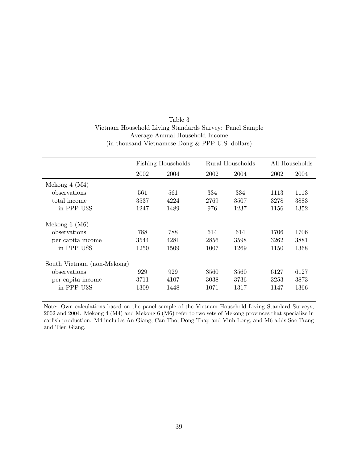| Table 3                                                 |
|---------------------------------------------------------|
| Vietnam Household Living Standards Survey: Panel Sample |
| Average Annual Household Income                         |
| (in thousand Vietnamese Dong & PPP U.S. dollars)        |

|                            |      | <b>Fishing Households</b> |      | Rural Households |      | All Households |
|----------------------------|------|---------------------------|------|------------------|------|----------------|
|                            | 2002 | 2004                      | 2002 | 2004             | 2002 | 2004           |
| Mekong $4 \ (M4)$          |      |                           |      |                  |      |                |
| observations               | 561  | 561                       | 334  | 334              | 1113 | 1113           |
| total income               | 3537 | 4224                      | 2769 | 3507             | 3278 | 3883           |
| in PPP USS                 | 1247 | 1489                      | 976  | 1237             | 1156 | 1352           |
| Mekong $6 \ (M6)$          |      |                           |      |                  |      |                |
| observations               | 788  | 788                       | 614  | 614              | 1706 | 1706           |
| per capita income          | 3544 | 4281                      | 2856 | 3598             | 3262 | 3881           |
| in PPP USS                 | 1250 | 1509                      | 1007 | 1269             | 1150 | 1368           |
| South Vietnam (non-Mekong) |      |                           |      |                  |      |                |
| observations               | 929  | 929                       | 3560 | 3560             | 6127 | 6127           |
| per capita income          | 3711 | 4107                      | 3038 | 3736             | 3253 | 3873           |
| in PPP USS                 | 1309 | 1448                      | 1071 | 1317             | 1147 | 1366           |

Note: Own calculations based on the panel sample of the Vietnam Household Living Standard Surveys, 2002 and 2004. Mekong 4 (M4) and Mekong 6 (M6) refer to two sets of Mekong provinces that specialize in catfish production: M4 includes An Giang, Can Tho, Dong Thap and Vinh Long, and M6 adds Soc Trang and Tien Giang.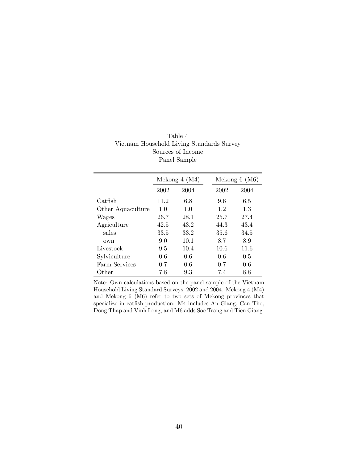|                   |      | Mekong $4 \ (M4)$ |      | Mekong $6 \ (M6)$ |
|-------------------|------|-------------------|------|-------------------|
|                   | 2002 | 2004              | 2002 | 2004              |
| Catfish           | 11.2 | 6.8               | 9.6  | 6.5               |
| Other Aquaculture | 1.0  | 1.0               | 1.2  | 1.3               |
| Wages             | 26.7 | 28.1              | 25.7 | 27.4              |
| Agriculture       | 42.5 | 43.2              | 44.3 | 43.4              |
| sales             | 33.5 | 33.2              | 35.6 | 34.5              |
| own               | 9.0  | 10.1              | 8.7  | 8.9               |
| Livestock         | 9.5  | 10.4              | 10.6 | 11.6              |
| Sylviculture      | 0.6  | 0.6               | 0.6  | 0.5               |
| Farm Services     | 0.7  | 0.6               | 0.7  | 0.6               |
| Other             | 7.8  | 9.3               | 7.4  | 8.8               |

Table 4 Vietnam Household Living Standards Survey Sources of Income Panel Sample

Note: Own calculations based on the panel sample of the Vietnam Household Living Standard Surveys, 2002 and 2004. Mekong 4 (M4) and Mekong 6 (M6) refer to two sets of Mekong provinces that specialize in catfish production: M4 includes An Giang, Can Tho, Dong Thap and Vinh Long, and M6 adds Soc Trang and Tien Giang.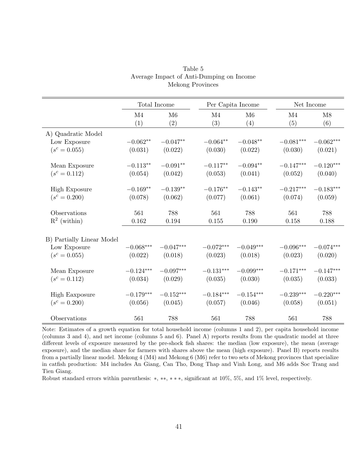|                           |             | Total Income | Per Capita Income   |             | Net Income            |             |
|---------------------------|-------------|--------------|---------------------|-------------|-----------------------|-------------|
|                           | M4<br>(1)   | M6<br>(2)    | M4<br>(3)           | M6<br>(4)   | M <sub>4</sub><br>(5) | M8<br>(6)   |
| A) Quadratic Model        |             |              |                     |             |                       |             |
| Low Exposure              | $-0.062**$  | $-0.047**$   | $-0.064**$          | $-0.048**$  | $-0.081***$           | $-0.062***$ |
| $(s^c = 0.055)$           | (0.031)     | (0.022)      | (0.030)             | (0.022)     | (0.030)               | (0.021)     |
| Mean Exposure             | $-0.113**$  | $-0.091**$   | $-0.117**$          | $-0.094**$  | $-0.147***$           | $-0.120***$ |
| $(s^c = 0.112)$           | (0.054)     | (0.042)      | (0.053)             | (0.041)     | (0.052)               | (0.040)     |
| <b>High Exposure</b>      | $-0.169**$  | $-0.139**$   | $-0.176^{\ast\ast}$ | $-0.143**$  | $-0.217***$           | $-0.183***$ |
| $(s^c = 0.200)$           | (0.078)     | (0.062)      | (0.077)             | (0.061)     | (0.074)               | (0.059)     |
| Observations              | 561         | 788          | 561                 | 788         | 561                   | 788         |
| $\mathbf{R}^2$ (within)   | $0.162\,$   | 0.194        | 0.155               | 0.190       | 0.158                 | 0.188       |
| B) Partially Linear Model |             |              |                     |             |                       |             |
| Low Exposure              | $-0.068***$ | $-0.047***$  | $-0.072***$         | $-0.049***$ | $-0.096***$           | $-0.074***$ |
| $(s^c = 0.055)$           | (0.022)     | (0.018)      | (0.023)             | (0.018)     | (0.023)               | (0.020)     |
| Mean Exposure             | $-0.124***$ | $-0.097***$  | $-0.131***$         | $-0.099***$ | $-0.171***$           | $-0.147***$ |
| $(s^c = 0.112)$           | (0.034)     | (0.029)      | (0.035)             | (0.030)     | (0.035)               | (0.033)     |
| <b>High Eaxposure</b>     | $-0.179***$ | $-0.152***$  | $-0.184***$         | $-0.154***$ | $-0.239***$           | $-0.220***$ |
| $(s^c = 0.200)$           | (0.056)     | (0.045)      | (0.057)             | (0.046)     | (0.058)               | (0.051)     |
| Observations              | 561         | 788          | 561                 | 788         | 561                   | 788         |

Table 5 Average Impact of Anti-Dumping on Income Mekong Provinces

Note: Estimates of a growth equation for total household income (columns 1 and 2), per capita household income (columns 3 and 4), and net income (columns 5 and 6). Panel A) reports results from the quadratic model at three different levels of exposure measured by the pre-shock fish shares: the median (low exposure), the mean (average exposure), and the median share for farmers with shares above the mean (high exposure). Panel B) reports results from a partially linear model. Mekong 4 (M4) and Mekong 6 (M6) refer to two sets of Mekong provinces that specialize in catfish production: M4 includes An Giang, Can Tho, Dong Thap and Vinh Long, and M6 adds Soc Trang and Tien Giang.

Robust standard errors within parenthesis: ∗, ∗∗, ∗ ∗ ∗, significant at 10%, 5%, and 1% level, respectively.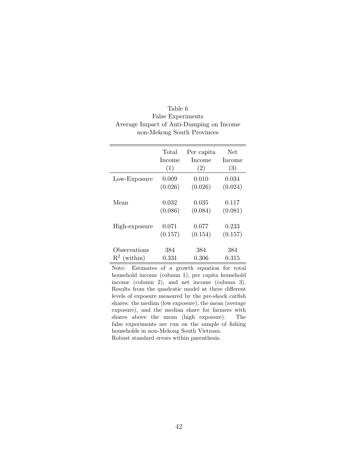| Table 6                                  |
|------------------------------------------|
| False Experiments                        |
| Average Impact of Anti-Dumping on Income |
| non-Mekong South Provinces               |

|                         | Total         | Per capita | <b>Net</b> |
|-------------------------|---------------|------------|------------|
|                         | <b>Income</b> | Income     | Income     |
|                         | (1)           | (2)        | (3)        |
| Low-Exposure            | 0.009         | 0.010      | 0.034      |
|                         | (0.026)       | (0.026)    | (0.024)    |
| Mean                    | 0.032         | 0.035      | 0.117      |
|                         | (0.086)       | (0.084)    | (0.081)    |
| High-exposure           | 0.071         | 0.077      | 0.233      |
|                         | (0.157)       | (0.154)    | (0.157)    |
| Observations            | 384           | 384        | 384        |
| $\mathbb{R}^2$ (within) | 0.331         | 0.306      | 0.315      |

Note: Estimates of a growth equation for total household income (column 1), per capita household income (column 2), and net income (column 3). Results from the quadratic model at three different levels of exposure measured by the pre-shock catfish shares: the median (low exposure), the mean (average exposure), and the median share for farmers with shares above the mean (high exposure). The false experiments are run on the sample of fishing households in non-Mekong South Vietnam. Robust standard errors within parenthesis.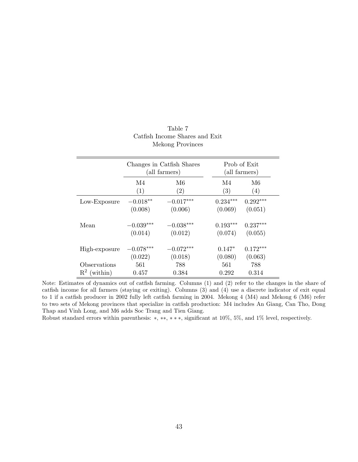|                         |             | Changes in Catfish Shares<br>(all farmers) |            | Prob of Exit<br>(all farmers) |
|-------------------------|-------------|--------------------------------------------|------------|-------------------------------|
|                         | M4          | M6                                         | M4         | M6                            |
|                         | (1)         | $\left( 2\right)$                          | (3)        | (4)                           |
| Low-Exposure            | $-0.018**$  | $-0.017***$                                | $0.234***$ | $0.292***$                    |
|                         | (0.008)     | (0.006)                                    | (0.069)    | (0.051)                       |
| Mean                    | $-0.039***$ | $-0.038***$                                | $0.193***$ | $0.237***$                    |
|                         | (0.014)     | (0.012)                                    | (0.074)    | (0.055)                       |
| High-exposure           | $-0.078***$ | $-0.072***$                                | $0.147*$   | $0.172***$                    |
|                         | (0.022)     | (0.018)                                    | (0.080)    | (0.063)                       |
| Observations            | 561         | 788                                        | 561        | 788                           |
| $\mathbb{R}^2$ (within) | 0.457       | 0.384                                      | 0.292      | 0.314                         |

#### Table 7 Catfish Income Shares and Exit Mekong Provinces

Note: Estimates of dynamics out of catfish farming. Columns (1) and (2) refer to the changes in the share of catfish income for all farmers (staying or exiting). Columns (3) and (4) use a discrete indicator of exit equal to 1 if a catfish producer in 2002 fully left catfish farming in 2004. Mekong 4 (M4) and Mekong 6 (M6) refer to two sets of Mekong provinces that specialize in catfish production: M4 includes An Giang, Can Tho, Dong Thap and Vinh Long, and M6 adds Soc Trang and Tien Giang.

Robust standard errors within parenthesis: ∗, ∗∗, ∗ ∗ ∗, significant at 10%, 5%, and 1% level, respectively.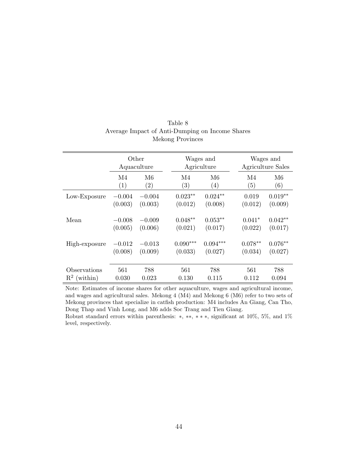|                                         | Other<br>Aquaculture |                                     |                       | Wages and<br>Agriculture |                      | Wages and<br>Agriculture Sales |
|-----------------------------------------|----------------------|-------------------------------------|-----------------------|--------------------------|----------------------|--------------------------------|
|                                         | M4<br>(1)            | M <sub>6</sub><br>$\left( 2\right)$ | M4<br>(3)             | M6<br>(4)                | M4<br>(5)            | M <sub>6</sub><br>(6)          |
| Low-Exposure                            | $-0.004$<br>(0.003)  | $-0.004$<br>(0.003)                 | $0.023**$<br>(0.012)  | $0.024**$<br>(0.008)     | 0.019<br>(0.012)     | $0.019**$<br>(0.009)           |
| Mean                                    | $-0.008$<br>(0.005)  | $-0.009$<br>(0.006)                 | $0.048**$<br>(0.021)  | $0.053**$<br>(0.017)     | $0.041*$<br>(0.022)  | $0.042**$<br>(0.017)           |
| High-exposure                           | $-0.012$<br>(0.008)  | $-0.013$<br>(0.009)                 | $0.090***$<br>(0.033) | $0.094***$<br>(0.027)    | $0.078**$<br>(0.034) | $0.076**$<br>(0.027)           |
| Observations<br>$\mathbb{R}^2$ (within) | 561<br>0.030         | 788<br>0.023                        | 561<br>0.130          | 788<br>0.115             | 561<br>0.112         | 788<br>0.094                   |

#### Table 8 Average Impact of Anti-Dumping on Income Shares Mekong Provinces

Note: Estimates of income shares for other aquaculture, wages and agricultural income, and wages and agricultural sales. Mekong 4 (M4) and Mekong 6 (M6) refer to two sets of Mekong provinces that specialize in catfish production: M4 includes An Giang, Can Tho, Dong Thap and Vinh Long, and M6 adds Soc Trang and Tien Giang.

Robust standard errors within parenthesis: ∗, ∗∗, ∗ ∗ ∗, significant at 10%, 5%, and 1% level, respectively.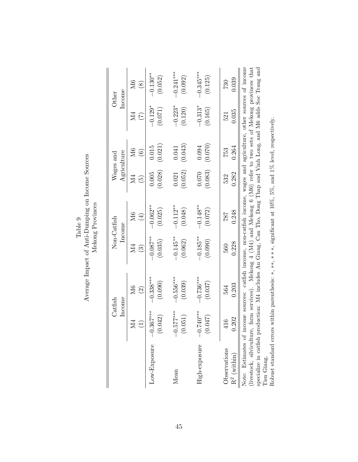|                                                                                                                                                                                                                                                                                                                                                                                   |                 | Income<br>$\rm Catfish$                                                                    |                        | Non-Catfish<br>Income | Agriculture<br>$\rm{Wages}$ and |                   |           | Income<br>Other |
|-----------------------------------------------------------------------------------------------------------------------------------------------------------------------------------------------------------------------------------------------------------------------------------------------------------------------------------------------------------------------------------|-----------------|--------------------------------------------------------------------------------------------|------------------------|-----------------------|---------------------------------|-------------------|-----------|-----------------|
|                                                                                                                                                                                                                                                                                                                                                                                   | УZ              | M <sub>6</sub>                                                                             | М4                     | M6                    | Σđ                              | M <sub>6</sub>    | Ν4        | M6              |
|                                                                                                                                                                                                                                                                                                                                                                                   | $\widehat{\Xi}$ | $\widehat{2}$                                                                              | $\widehat{\mathbb{C}}$ | $\bigoplus$           | $\widetilde{\mathbf{e}}$        | $\widehat{\circ}$ | E         | $\circledast$   |
| Low-Exposure                                                                                                                                                                                                                                                                                                                                                                      | $-0.367***$     | $-0.338***$                                                                                | $-0.087***$            | $-0.062**$            | (0.028)                         | (0.021)           | $-0.129*$ | $-0.130***$     |
|                                                                                                                                                                                                                                                                                                                                                                                   | (0.042)         | (0.090)                                                                                    | (0.035)                | (0.025)               | 0.005                           | 0.015             | (0.071)   | (0.052)         |
| Mean                                                                                                                                                                                                                                                                                                                                                                              | $-0.577***$     | $-0.556***$                                                                                | $-0.145**$             | $-0.112**$            | (0.052)                         | (0.043)           | $-0.223*$ | $-0.241***$     |
|                                                                                                                                                                                                                                                                                                                                                                                   | (0.051)         | (0.039)                                                                                    | (0.062)                | (0.048)               | 0.021                           | 0.041             | (0.120)   | (0.092)         |
| High-exposure                                                                                                                                                                                                                                                                                                                                                                     | $-0.740***$     | $-0.736***$                                                                                | $-0.185**$             | $-0.148**$            | (0.083)                         | (0.070)           | $-0.313*$ | $-0.345***$     |
|                                                                                                                                                                                                                                                                                                                                                                                   | (0.047)         | (0.037)                                                                                    | (0.090)                | (0.072)               | 0.070                           | 0.094             | (0.165)   | (0.125)         |
| Observations                                                                                                                                                                                                                                                                                                                                                                      | 0.202           | 0.203                                                                                      | 0.228                  | 0.248                 | 0.282                           | 0.264             | 0.035     | 0.039           |
| $R^2$ (within)                                                                                                                                                                                                                                                                                                                                                                    | 116             | 564                                                                                        | 560                    | 787                   | 532                             | 753               | 521       | 730             |
| Note: Estimates of income sources: catfish income, non-catfish income, wages and agriculture, other sources of income<br>specialize in catfish production: M4 includes An Giang, Can Tho, Dong Thap and Vinh Long, and M6 adds Soc Trang and<br>(livestock, silviculture,<br>» جمعة الأمريكية المتبرية المتبرية المتبرية المتبرية المتبرية المتبرية المتبرية المتبرية المتبرية ال |                 | farm services). Mekong 4 (M4) and Mekong 6 (M6) refer to two sets of Mekong provinces that |                        |                       |                                 |                   |           |                 |

Tien Giang.<br>Robust standard errors within parenthesis: \*, \*\*, \* \* \*, significant at 10%, 5%, and 1% level, respectively. Tien Giang.

Robust standard errors within parenthesis: ∗, ∗∗, ∗ ∗ ∗, significant at 10%, 5%, and 1% level, respectively.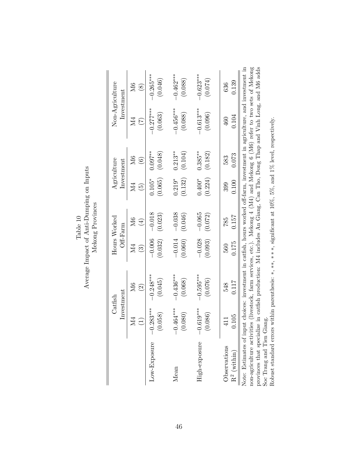|                                                                                                                                                                                                                                                                                                                                                                                  |                 | Investment<br>Catfish | Off-Farm               | Hours Worked |                   | Agriculture<br>Investment |             | Non-Agriculture<br>Investment |
|----------------------------------------------------------------------------------------------------------------------------------------------------------------------------------------------------------------------------------------------------------------------------------------------------------------------------------------------------------------------------------|-----------------|-----------------------|------------------------|--------------|-------------------|---------------------------|-------------|-------------------------------|
|                                                                                                                                                                                                                                                                                                                                                                                  | M4              | Σб                    | М4                     | M6           | Μ4                | M <sub>6</sub>            | Ν4          | $\overline{\rm M6}$           |
|                                                                                                                                                                                                                                                                                                                                                                                  | $\widehat{\Xi}$ | $\widehat{\Omega}$    | $\widehat{\mathbb{C}}$ | $\bigoplus$  | $\widetilde{\Xi}$ | $\odot$                   | E           | $\circledast$                 |
| Low-Exposure                                                                                                                                                                                                                                                                                                                                                                     | $1.283***$      | $-0.248***$           | $-0.006$               | $-0.018$     | (0.065)           | $0.097**$                 | $-0.277***$ | $-0.265***$                   |
|                                                                                                                                                                                                                                                                                                                                                                                  | 0.058           | (0.045)               | (0.032)                | (0.023)      | $0.105*$          | (0.048)                   | (0.063)     | (0.046)                       |
| Mean                                                                                                                                                                                                                                                                                                                                                                             | $0.464***$      | $-0.436***$           | $-0.014$               | $-0.038$     | $0.219*$          | $0.213**$                 | $-0.456***$ | $-0.462***$                   |
|                                                                                                                                                                                                                                                                                                                                                                                  | 0.080           | (0.068)               | (0.060)                | (0.046)      | (0.132)           | (0.104)                   | (0.088)     | (0.088)                       |
| High-exposure                                                                                                                                                                                                                                                                                                                                                                    | $0.619***$      | $-0.595***$           | $-0.028$               | $-0.065$     | (0.224)           | $0.385***$                | $-0.613***$ | $-0.623***$                   |
|                                                                                                                                                                                                                                                                                                                                                                                  | 0.086           | (0.076)               | (0.093)                | (0.072)      | $0.400*$          | (0.182)                   | (0.096)     | (0.074)                       |
| Observations                                                                                                                                                                                                                                                                                                                                                                     | 0.105           | 0.117                 | 0.175                  | 0.157        | 0.100             | 0.073                     | 0.104       | 0.139                         |
| $\mathbf{R}^2$ (within)                                                                                                                                                                                                                                                                                                                                                          | 411             | 548                   | 560                    | 785          | 399               | 583                       | 460         | 636                           |
| non-agriculture activities (livestock, farm services, etc.). Mekong 4 (M4) and Mekong 6 (M6) refer to two sets of Mekong<br>provinces that specialize in catfish production: M4 includes An Giang, Can Tho, Dong Thap and Vinh Long, and M6 adds<br>Note: Estimates of input choices: investment in catfish, hours worked off-farm, investment in agriculture, and investment in |                 |                       |                        |              |                   |                           |             |                               |

 ${\rm Table~10} \\ {\rm Average~ Impact~of~Anti-Dumping~on~InputStream} \\ {\rm Mekong~Provinces}$ Average Impact of Anti-Dumping on Inputs Mekong Provinces Soc Trang and Tien Giang.

Soc Trang and Tien Giang.<br>Robust standard errors within parenthesis:  $*, **, **,$  significant at  $10\%, 5\%,$  and  $1\%$  level, respectively. Robust standard errors within parenthesis: ∗, ∗∗, ∗ ∗ ∗, significant at 10%, 5%, and 1% level, respectively.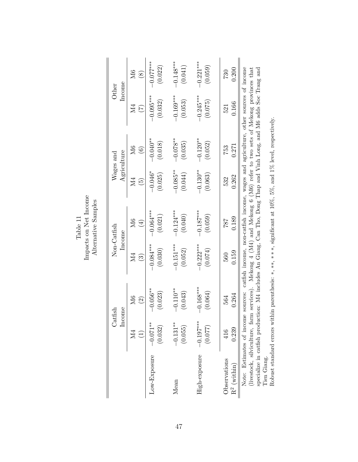|                |                                                             | Income<br>Catfish   |                        | Non-Catfish<br>Income |                            | Agriculture<br>Wages and | Other                                                                                                                                                                                                                                                                                                | Income        |
|----------------|-------------------------------------------------------------|---------------------|------------------------|-----------------------|----------------------------|--------------------------|------------------------------------------------------------------------------------------------------------------------------------------------------------------------------------------------------------------------------------------------------------------------------------------------------|---------------|
|                | $\overline{\rm M4}$                                         | $\overline{\rm M6}$ | ŽД<br>2                | M6                    | N4                         | M6                       | И4                                                                                                                                                                                                                                                                                                   | $\mathbb{M}$  |
|                | $\widehat{\Xi}$                                             | $\odot$             | $\widehat{\mathbb{G}}$ | $\bigoplus$           | $\widetilde{\mathfrak{G}}$ | $\widehat{6}$            | E                                                                                                                                                                                                                                                                                                    | $\circledast$ |
| Low-Exposure   | $-0.071**$                                                  | $-0.056***$         | $-0.084***$            | $-0.064***$           | $-0.046*$                  | $-0.040**$               | $-0.095***$                                                                                                                                                                                                                                                                                          | $-0.077***$   |
|                | (0.032)                                                     | (0.023)             | (0.030)                | (0.021)               | (0.025)                    | (0.018)                  | (0.032)                                                                                                                                                                                                                                                                                              | (0.022)       |
| Mean           | $-0.131***$                                                 | $-0.110**$          | $-0.151***$            | $-0.124***$           | $-0.085**$                 | $-0.078$ **              | $-0.169***$                                                                                                                                                                                                                                                                                          | $-0.148***$   |
|                | (0.055)                                                     | (0.043)             | (0.052)                | (0.040)               | (0.044)                    | (0.035)                  | (0.053)                                                                                                                                                                                                                                                                                              | (0.041)       |
| High-exposure  | $-0.197***$                                                 | $-0.168***$         | $-0.222***$            | $-0.187***$           | $-0.130**$                 | $-0.120**$               | $-0.245***$                                                                                                                                                                                                                                                                                          | $-0.221***$   |
|                | (0.077)                                                     | (0.064)             | (0.074)                | (0.059)               | (0.063)                    | (0.052)                  | (0.075)                                                                                                                                                                                                                                                                                              | (0.059)       |
| Observations   | 0.239                                                       | 0.264               | 0.159                  | 0.189                 | 0.262                      | 0.271                    | 0.166                                                                                                                                                                                                                                                                                                | 0.200         |
| $R^2$ (within) | 416                                                         | 564                 | 560                    | 787                   | 532                        | 753                      | 521                                                                                                                                                                                                                                                                                                  | 730           |
|                | Note: Estimates of income<br>(livestock, silviculture, farn | sources:            |                        |                       |                            |                          | catfish income, non-catfish income, wages and agriculture, other sources of income<br>a services). Mekong 4 (M4) and Mekong 6 (M6) refer to two sets of Mekong provinces that<br>specialize in catfish production: M4 includes An Giang, Can Tho, Dong Thap and Vinh Long, and M6 adds Soc Trang and |               |

Table 11<br>Impacts on Net Income<br>Alternative Samples Impacts on Net Income Alternative Samples specialize in catfish production: M4 includes An Giang, Can Tho, Dong Thap and Vinh Long, and M6 adds Soc Trang and Tien Giang.<br>
Tien Giang.<br>
Robust standard errors within parenthesis: \*, \*\*, \* \*\*, significant at  $10\%, 5\%,$  and  $1\%$  level, respectively. Tien Giang.

Robust standard errors within parenthesis: ∗, ∗∗, ∗ ∗ ∗, significant at 10%, 5%, and 1% level, respectively.